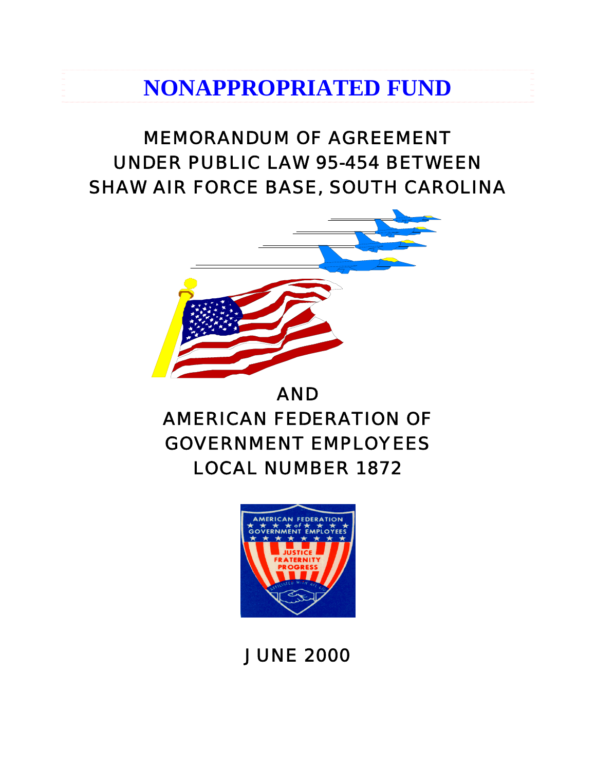# **NONAPPROPRIATED FUND**

# MEMORANDUM OF AGREEMENT UNDER PUBLIC LAW 95-454 BETWEEN SHAW AIR FORCE BASE, SOUTH CAROLINA



# AND AMERICAN FEDERATION OF GOVERNMENT EMPLOYEES LOCAL NUMBER 1872



# JUNE 2000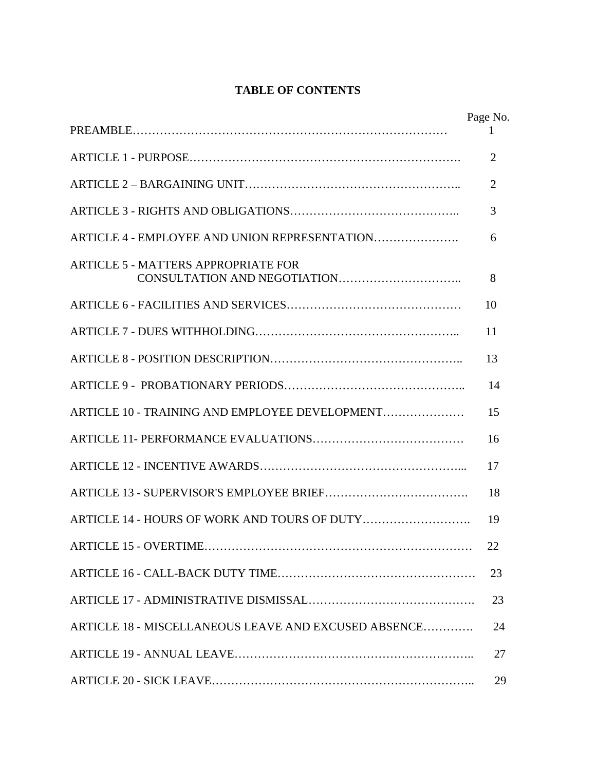# **TABLE OF CONTENTS**

|                                                      | Page No.       |
|------------------------------------------------------|----------------|
|                                                      | $\overline{2}$ |
|                                                      | $\overline{2}$ |
|                                                      | 3              |
| ARTICLE 4 - EMPLOYEE AND UNION REPRESENTATION        | 6              |
| <b>ARTICLE 5 - MATTERS APPROPRIATE FOR</b>           | 8              |
|                                                      | 10             |
|                                                      | 11             |
|                                                      | 13             |
|                                                      | 14             |
| ARTICLE 10 - TRAINING AND EMPLOYEE DEVELOPMENT       | 15             |
|                                                      | 16             |
|                                                      | 17             |
|                                                      | 18             |
|                                                      | 19             |
| ARTICLE 15 - OVERTIME                                | 22             |
|                                                      | 23             |
|                                                      | 23             |
| ARTICLE 18 - MISCELLANEOUS LEAVE AND EXCUSED ABSENCE | 24             |
|                                                      | 27             |
|                                                      | 29             |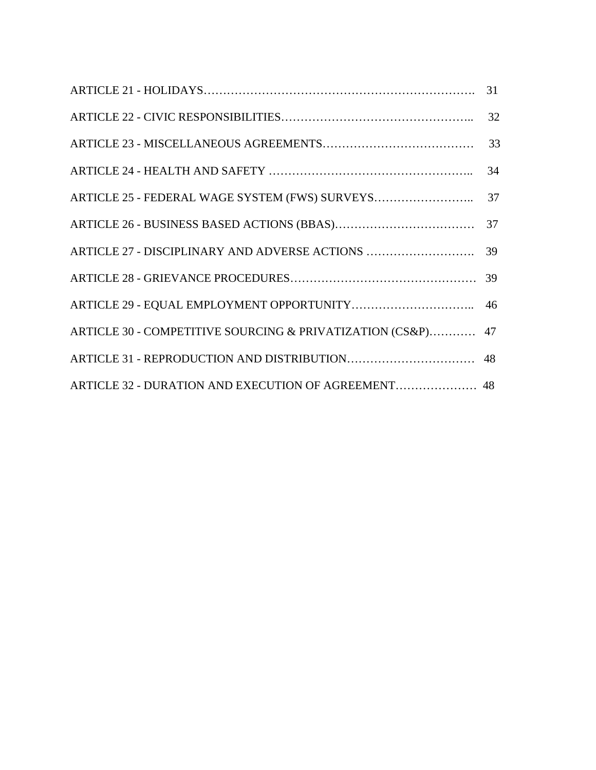|                                                             | 31 |
|-------------------------------------------------------------|----|
|                                                             | 32 |
|                                                             | 33 |
|                                                             | 34 |
|                                                             |    |
|                                                             |    |
|                                                             |    |
|                                                             |    |
|                                                             |    |
| ARTICLE 30 - COMPETITIVE SOURCING & PRIVATIZATION (CS&P) 47 |    |
|                                                             |    |
| ARTICLE 32 - DURATION AND EXECUTION OF AGREEMENT 48         |    |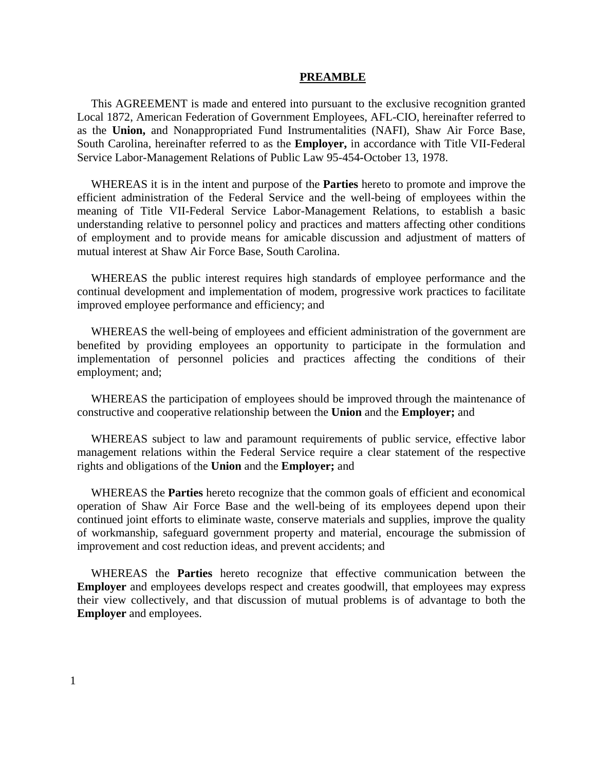#### **PREAMBLE**

This AGREEMENT is made and entered into pursuant to the exclusive recognition granted Local 1872, American Federation of Government Employees, AFL-CIO, hereinafter referred to as the **Union,** and Nonappropriated Fund Instrumentalities (NAFI), Shaw Air Force Base, South Carolina, hereinafter referred to as the **Employer,** in accordance with Title VII-Federal Service Labor-Management Relations of Public Law 95-454-October 13, 1978.

WHEREAS it is in the intent and purpose of the **Parties** hereto to promote and improve the efficient administration of the Federal Service and the well-being of employees within the meaning of Title VII-Federal Service Labor-Management Relations, to establish a basic understanding relative to personnel policy and practices and matters affecting other conditions of employment and to provide means for amicable discussion and adjustment of matters of mutual interest at Shaw Air Force Base, South Carolina.

WHEREAS the public interest requires high standards of employee performance and the continual development and implementation of modem, progressive work practices to facilitate improved employee performance and efficiency; and

WHEREAS the well-being of employees and efficient administration of the government are benefited by providing employees an opportunity to participate in the formulation and implementation of personnel policies and practices affecting the conditions of their employment; and;

WHEREAS the participation of employees should be improved through the maintenance of constructive and cooperative relationship between the **Union** and the **Employer;** and

WHEREAS subject to law and paramount requirements of public service, effective labor management relations within the Federal Service require a clear statement of the respective rights and obligations of the **Union** and the **Employer;** and

WHEREAS the **Parties** hereto recognize that the common goals of efficient and economical operation of Shaw Air Force Base and the well-being of its employees depend upon their continued joint efforts to eliminate waste, conserve materials and supplies, improve the quality of workmanship, safeguard government property and material, encourage the submission of improvement and cost reduction ideas, and prevent accidents; and

WHEREAS the **Parties** hereto recognize that effective communication between the **Employer** and employees develops respect and creates goodwill, that employees may express their view collectively, and that discussion of mutual problems is of advantage to both the **Employer** and employees.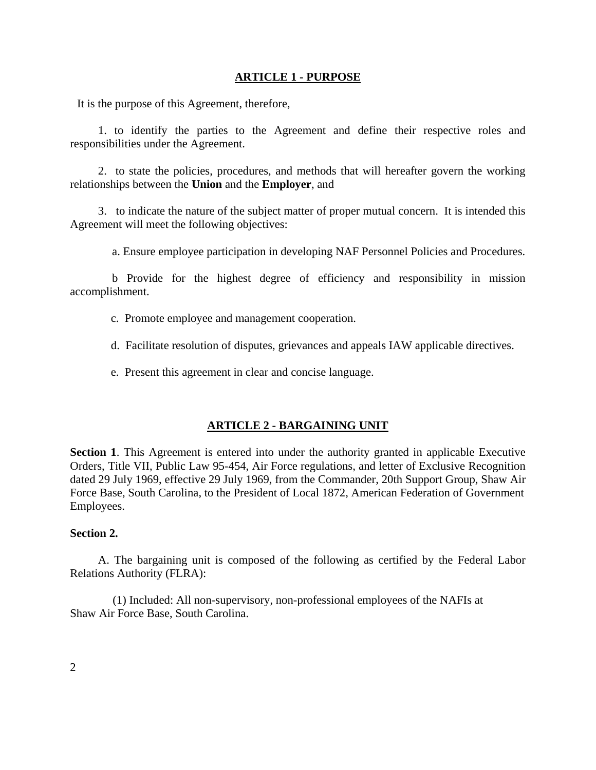#### **ARTICLE 1 - PURPOSE**

It is the purpose of this Agreement, therefore,

1. to identify the parties to the Agreement and define their respective roles and responsibilities under the Agreement.

2. to state the policies, procedures, and methods that will hereafter govern the working relationships between the **Union** and the **Employer**, and

3. to indicate the nature of the subject matter of proper mutual concern. It is intended this Agreement will meet the following objectives:

a. Ensure employee participation in developing NAF Personnel Policies and Procedures.

b Provide for the highest degree of efficiency and responsibility in mission accomplishment.

- c. Promote employee and management cooperation.
- d. Facilitate resolution of disputes, grievances and appeals IAW applicable directives.
- e. Present this agreement in clear and concise language.

#### **ARTICLE 2 - BARGAINING UNIT**

**Section 1**. This Agreement is entered into under the authority granted in applicable Executive Orders, Title VII, Public Law 95-454, Air Force regulations, and letter of Exclusive Recognition dated 29 July 1969, effective 29 July 1969, from the Commander, 20th Support Group, Shaw Air Force Base, South Carolina, to the President of Local 1872, American Federation of Government Employees.

#### **Section 2.**

A. The bargaining unit is composed of the following as certified by the Federal Labor Relations Authority (FLRA):

 (1) Included: All non-supervisory, non-professional employees of the NAFIs at Shaw Air Force Base, South Carolina.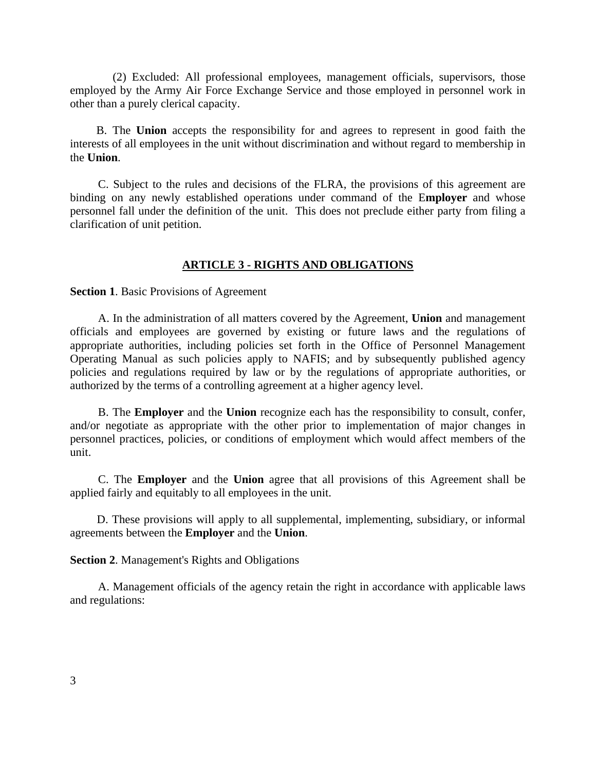(2) Excluded: All professional employees, management officials, supervisors, those employed by the Army Air Force Exchange Service and those employed in personnel work in other than a purely clerical capacity.

 B. The **Union** accepts the responsibility for and agrees to represent in good faith the interests of all employees in the unit without discrimination and without regard to membership in the **Union**.

C. Subject to the rules and decisions of the FLRA, the provisions of this agreement are binding on any newly established operations under command of the E**mployer** and whose personnel fall under the definition of the unit. This does not preclude either party from filing a clarification of unit petition.

#### **ARTICLE 3 - RIGHTS AND OBLIGATIONS**

**Section 1**. Basic Provisions of Agreement

A. In the administration of all matters covered by the Agreement, **Union** and management officials and employees are governed by existing or future laws and the regulations of appropriate authorities, including policies set forth in the Office of Personnel Management Operating Manual as such policies apply to NAFIS; and by subsequently published agency policies and regulations required by law or by the regulations of appropriate authorities, or authorized by the terms of a controlling agreement at a higher agency level.

B. The **Employer** and the **Union** recognize each has the responsibility to consult, confer, and/or negotiate as appropriate with the other prior to implementation of major changes in personnel practices, policies, or conditions of employment which would affect members of the unit.

C. The **Employer** and the **Union** agree that all provisions of this Agreement shall be applied fairly and equitably to all employees in the unit.

 D. These provisions will apply to all supplemental, implementing, subsidiary, or informal agreements between the **Employer** and the **Union**.

**Section 2**. Management's Rights and Obligations

A. Management officials of the agency retain the right in accordance with applicable laws and regulations: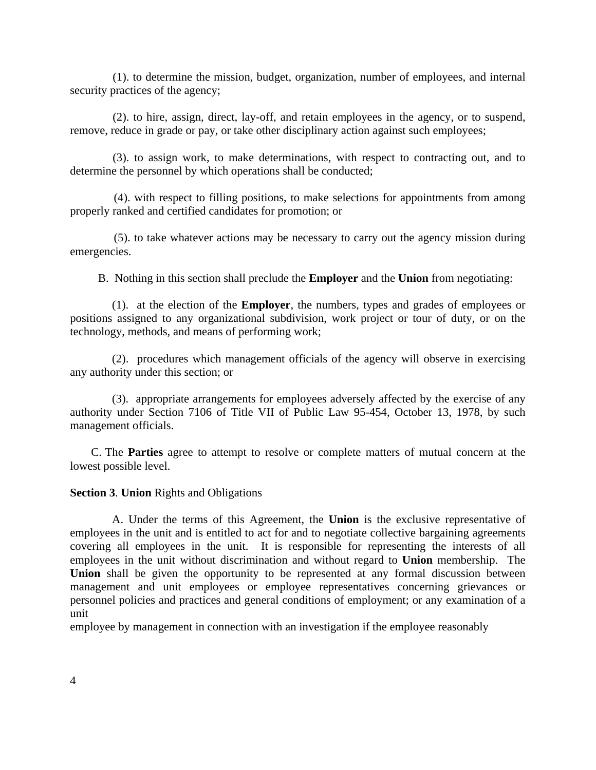(1). to determine the mission, budget, organization, number of employees, and internal security practices of the agency;

 (2). to hire, assign, direct, lay-off, and retain employees in the agency, or to suspend, remove, reduce in grade or pay, or take other disciplinary action against such employees;

 (3). to assign work, to make determinations, with respect to contracting out, and to determine the personnel by which operations shall be conducted;

 (4). with respect to filling positions, to make selections for appointments from among properly ranked and certified candidates for promotion; or

(5). to take whatever actions may be necessary to carry out the agency mission during emergencies.

B. Nothing in this section shall preclude the **Employer** and the **Union** from negotiating:

(1). at the election of the **Employer**, the numbers, types and grades of employees or positions assigned to any organizational subdivision, work project or tour of duty, or on the technology, methods, and means of performing work;

(2). procedures which management officials of the agency will observe in exercising any authority under this section; or

(3). appropriate arrangements for employees adversely affected by the exercise of any authority under Section 7106 of Title VII of Public Law 95-454, October 13, 1978, by such management officials.

C. The **Parties** agree to attempt to resolve or complete matters of mutual concern at the lowest possible level.

#### **Section 3**. **Union** Rights and Obligations

A. Under the terms of this Agreement, the **Union** is the exclusive representative of employees in the unit and is entitled to act for and to negotiate collective bargaining agreements covering all employees in the unit. It is responsible for representing the interests of all employees in the unit without discrimination and without regard to **Union** membership. The **Union** shall be given the opportunity to be represented at any formal discussion between management and unit employees or employee representatives concerning grievances or personnel policies and practices and general conditions of employment; or any examination of a unit

employee by management in connection with an investigation if the employee reasonably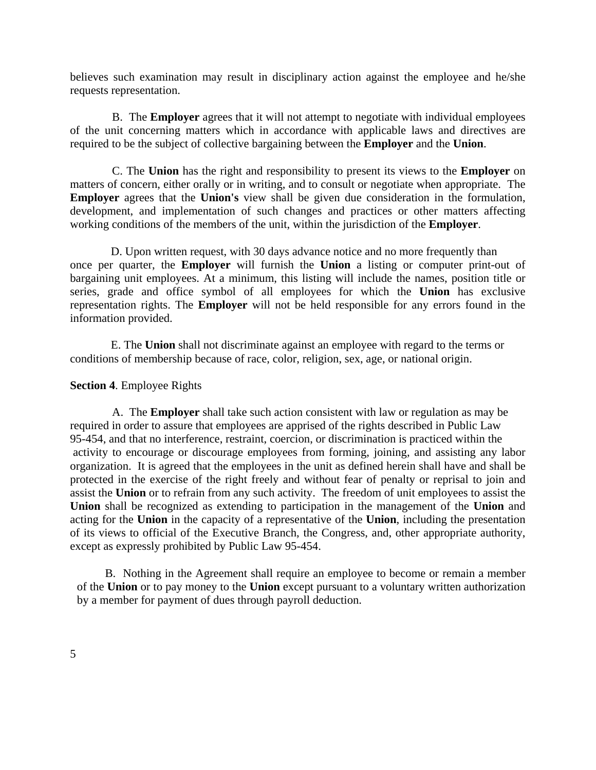believes such examination may result in disciplinary action against the employee and he/she requests representation.

B. The **Employer** agrees that it will not attempt to negotiate with individual employees of the unit concerning matters which in accordance with applicable laws and directives are required to be the subject of collective bargaining between the **Employer** and the **Union**.

C. The **Union** has the right and responsibility to present its views to the **Employer** on matters of concern, either orally or in writing, and to consult or negotiate when appropriate. The **Employer** agrees that the **Union's** view shall be given due consideration in the formulation, development, and implementation of such changes and practices or other matters affecting working conditions of the members of the unit, within the jurisdiction of the **Employer**.

 D. Upon written request, with 30 days advance notice and no more frequently than once per quarter, the **Employer** will furnish the **Union** a listing or computer print-out of bargaining unit employees. At a minimum, this listing will include the names, position title or series, grade and office symbol of all employees for which the **Union** has exclusive representation rights. The **Employer** will not be held responsible for any errors found in the information provided.

 E. The **Union** shall not discriminate against an employee with regard to the terms or conditions of membership because of race, color, religion, sex, age, or national origin.

### **Section 4**. Employee Rights

A. The **Employer** shall take such action consistent with law or regulation as may be required in order to assure that employees are apprised of the rights described in Public Law 95-454, and that no interference, restraint, coercion, or discrimination is practiced within the activity to encourage or discourage employees from forming, joining, and assisting any labor organization. It is agreed that the employees in the unit as defined herein shall have and shall be protected in the exercise of the right freely and without fear of penalty or reprisal to join and assist the **Union** or to refrain from any such activity. The freedom of unit employees to assist the **Union** shall be recognized as extending to participation in the management of the **Union** and acting for the **Union** in the capacity of a representative of the **Union**, including the presentation of its views to official of the Executive Branch, the Congress, and, other appropriate authority, except as expressly prohibited by Public Law 95-454.

B. Nothing in the Agreement shall require an employee to become or remain a member of the **Union** or to pay money to the **Union** except pursuant to a voluntary written authorization by a member for payment of dues through payroll deduction.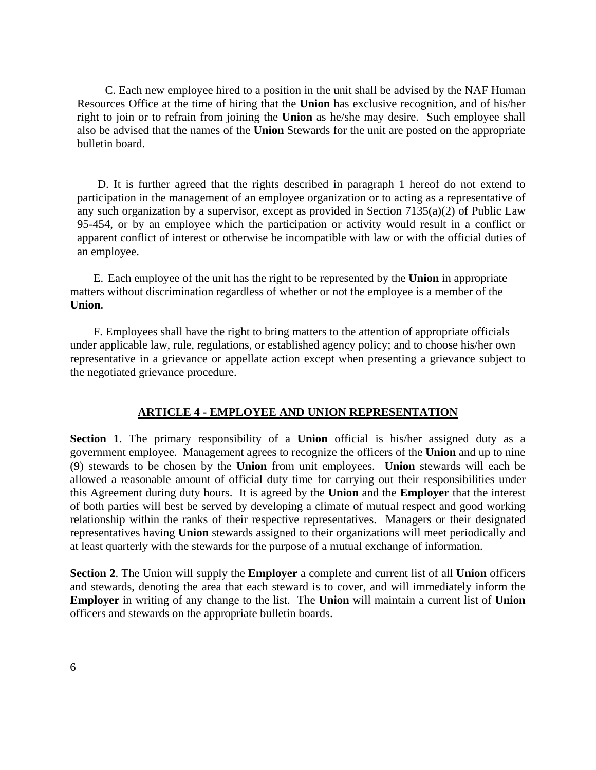C. Each new employee hired to a position in the unit shall be advised by the NAF Human Resources Office at the time of hiring that the **Union** has exclusive recognition, and of his/her right to join or to refrain from joining the **Union** as he/she may desire. Such employee shall also be advised that the names of the **Union** Stewards for the unit are posted on the appropriate bulletin board.

 D. It is further agreed that the rights described in paragraph 1 hereof do not extend to participation in the management of an employee organization or to acting as a representative of any such organization by a supervisor, except as provided in Section 7135(a)(2) of Public Law 95-454, or by an employee which the participation or activity would result in a conflict or apparent conflict of interest or otherwise be incompatible with law or with the official duties of an employee.

 E. Each employee of the unit has the right to be represented by the **Union** in appropriate matters without discrimination regardless of whether or not the employee is a member of the **Union**.

 F. Employees shall have the right to bring matters to the attention of appropriate officials under applicable law, rule, regulations, or established agency policy; and to choose his/her own representative in a grievance or appellate action except when presenting a grievance subject to the negotiated grievance procedure.

## **ARTICLE 4 - EMPLOYEE AND UNION REPRESENTATION**

**Section 1**. The primary responsibility of a **Union** official is his/her assigned duty as a government employee. Management agrees to recognize the officers of the **Union** and up to nine (9) stewards to be chosen by the **Union** from unit employees. **Union** stewards will each be allowed a reasonable amount of official duty time for carrying out their responsibilities under this Agreement during duty hours. It is agreed by the **Union** and the **Employer** that the interest of both parties will best be served by developing a climate of mutual respect and good working relationship within the ranks of their respective representatives. Managers or their designated representatives having **Union** stewards assigned to their organizations will meet periodically and at least quarterly with the stewards for the purpose of a mutual exchange of information.

**Section 2**. The Union will supply the **Employer** a complete and current list of all **Union** officers and stewards, denoting the area that each steward is to cover, and will immediately inform the **Employer** in writing of any change to the list. The **Union** will maintain a current list of **Union** officers and stewards on the appropriate bulletin boards.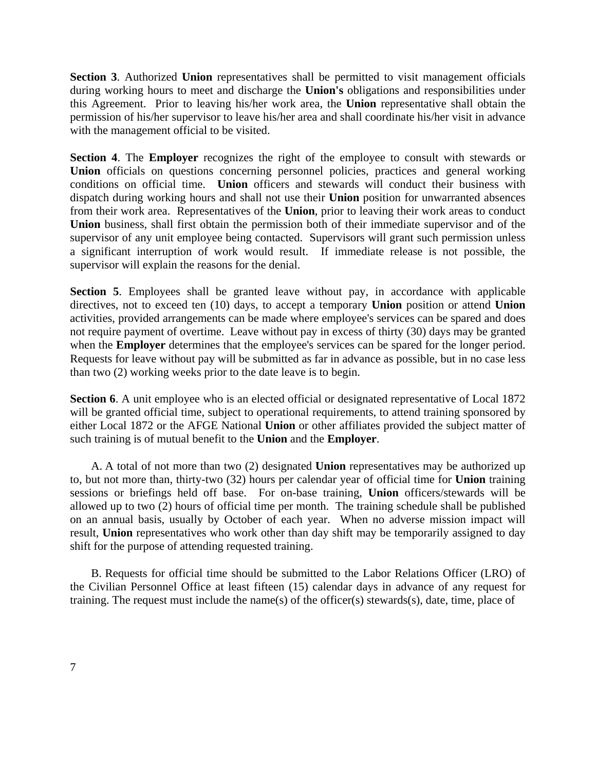**Section 3**. Authorized **Union** representatives shall be permitted to visit management officials during working hours to meet and discharge the **Union's** obligations and responsibilities under this Agreement. Prior to leaving his/her work area, the **Union** representative shall obtain the permission of his/her supervisor to leave his/her area and shall coordinate his/her visit in advance with the management official to be visited.

**Section 4**. The **Employer** recognizes the right of the employee to consult with stewards or **Union** officials on questions concerning personnel policies, practices and general working conditions on official time. **Union** officers and stewards will conduct their business with dispatch during working hours and shall not use their **Union** position for unwarranted absences from their work area. Representatives of the **Union**, prior to leaving their work areas to conduct **Union** business, shall first obtain the permission both of their immediate supervisor and of the supervisor of any unit employee being contacted. Supervisors will grant such permission unless a significant interruption of work would result. If immediate release is not possible, the supervisor will explain the reasons for the denial.

**Section 5**. Employees shall be granted leave without pay, in accordance with applicable directives, not to exceed ten (10) days, to accept a temporary **Union** position or attend **Union** activities, provided arrangements can be made where employee's services can be spared and does not require payment of overtime. Leave without pay in excess of thirty (30) days may be granted when the **Employer** determines that the employee's services can be spared for the longer period. Requests for leave without pay will be submitted as far in advance as possible, but in no case less than two (2) working weeks prior to the date leave is to begin.

**Section 6.** A unit employee who is an elected official or designated representative of Local 1872 will be granted official time, subject to operational requirements, to attend training sponsored by either Local 1872 or the AFGE National **Union** or other affiliates provided the subject matter of such training is of mutual benefit to the **Union** and the **Employer**.

A. A total of not more than two (2) designated **Union** representatives may be authorized up to, but not more than, thirty-two (32) hours per calendar year of official time for **Union** training sessions or briefings held off base. For on-base training, **Union** officers/stewards will be allowed up to two (2) hours of official time per month. The training schedule shall be published on an annual basis, usually by October of each year. When no adverse mission impact will result, **Union** representatives who work other than day shift may be temporarily assigned to day shift for the purpose of attending requested training.

B. Requests for official time should be submitted to the Labor Relations Officer (LRO) of the Civilian Personnel Office at least fifteen (15) calendar days in advance of any request for training. The request must include the name(s) of the officer(s) stewards(s), date, time, place of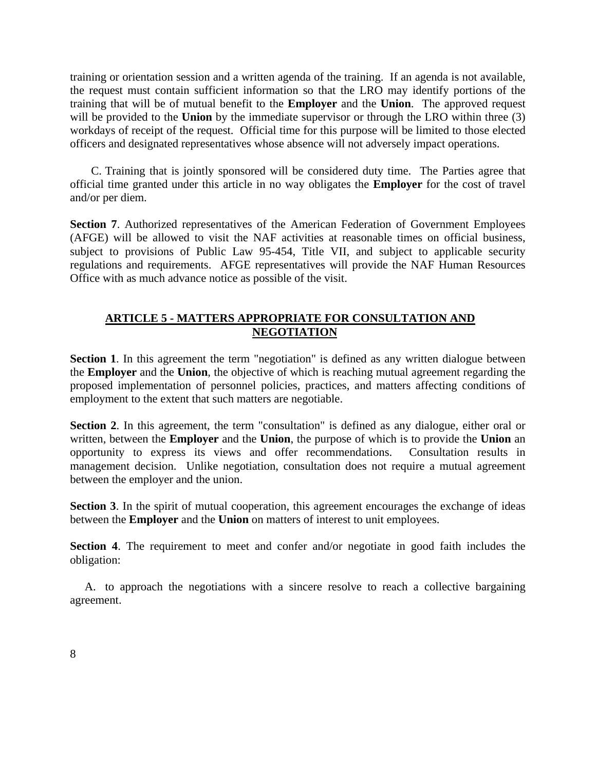training or orientation session and a written agenda of the training. If an agenda is not available, the request must contain sufficient information so that the LRO may identify portions of the training that will be of mutual benefit to the **Employer** and the **Union**. The approved request will be provided to the **Union** by the immediate supervisor or through the LRO within three (3) workdays of receipt of the request. Official time for this purpose will be limited to those elected officers and designated representatives whose absence will not adversely impact operations.

C. Training that is jointly sponsored will be considered duty time. The Parties agree that official time granted under this article in no way obligates the **Employer** for the cost of travel and/or per diem.

**Section 7**. Authorized representatives of the American Federation of Government Employees (AFGE) will be allowed to visit the NAF activities at reasonable times on official business, subject to provisions of Public Law 95-454, Title VII, and subject to applicable security regulations and requirements. AFGE representatives will provide the NAF Human Resources Office with as much advance notice as possible of the visit.

# **ARTICLE 5 - MATTERS APPROPRIATE FOR CONSULTATION AND NEGOTIATION**

**Section 1.** In this agreement the term "negotiation" is defined as any written dialogue between the **Employer** and the **Union**, the objective of which is reaching mutual agreement regarding the proposed implementation of personnel policies, practices, and matters affecting conditions of employment to the extent that such matters are negotiable.

**Section 2.** In this agreement, the term "consultation" is defined as any dialogue, either oral or written, between the **Employer** and the **Union**, the purpose of which is to provide the **Union** an opportunity to express its views and offer recommendations. Consultation results in management decision. Unlike negotiation, consultation does not require a mutual agreement between the employer and the union.

**Section 3**. In the spirit of mutual cooperation, this agreement encourages the exchange of ideas between the **Employer** and the **Union** on matters of interest to unit employees.

**Section 4**. The requirement to meet and confer and/or negotiate in good faith includes the obligation:

 A. to approach the negotiations with a sincere resolve to reach a collective bargaining agreement.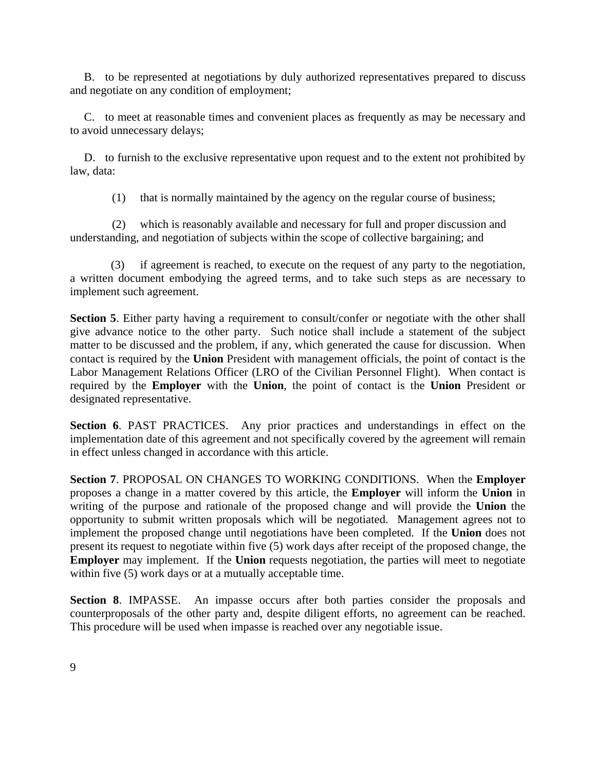B. to be represented at negotiations by duly authorized representatives prepared to discuss and negotiate on any condition of employment;

C. to meet at reasonable times and convenient places as frequently as may be necessary and to avoid unnecessary delays;

D. to furnish to the exclusive representative upon request and to the extent not prohibited by law, data:

(1) that is normally maintained by the agency on the regular course of business;

(2) which is reasonably available and necessary for full and proper discussion and understanding, and negotiation of subjects within the scope of collective bargaining; and

 (3) if agreement is reached, to execute on the request of any party to the negotiation, a written document embodying the agreed terms, and to take such steps as are necessary to implement such agreement.

**Section 5**. Either party having a requirement to consult/confer or negotiate with the other shall give advance notice to the other party. Such notice shall include a statement of the subject matter to be discussed and the problem, if any, which generated the cause for discussion. When contact is required by the **Union** President with management officials, the point of contact is the Labor Management Relations Officer (LRO of the Civilian Personnel Flight). When contact is required by the **Employer** with the **Union**, the point of contact is the **Union** President or designated representative.

**Section 6**. PAST PRACTICES. Any prior practices and understandings in effect on the implementation date of this agreement and not specifically covered by the agreement will remain in effect unless changed in accordance with this article.

**Section 7**. PROPOSAL ON CHANGES TO WORKING CONDITIONS. When the **Employer** proposes a change in a matter covered by this article, the **Employer** will inform the **Union** in writing of the purpose and rationale of the proposed change and will provide the **Union** the opportunity to submit written proposals which will be negotiated. Management agrees not to implement the proposed change until negotiations have been completed. If the **Union** does not present its request to negotiate within five (5) work days after receipt of the proposed change, the **Employer** may implement. If the **Union** requests negotiation, the parties will meet to negotiate within five (5) work days or at a mutually acceptable time.

**Section 8**. IMPASSE. An impasse occurs after both parties consider the proposals and counterproposals of the other party and, despite diligent efforts, no agreement can be reached. This procedure will be used when impasse is reached over any negotiable issue.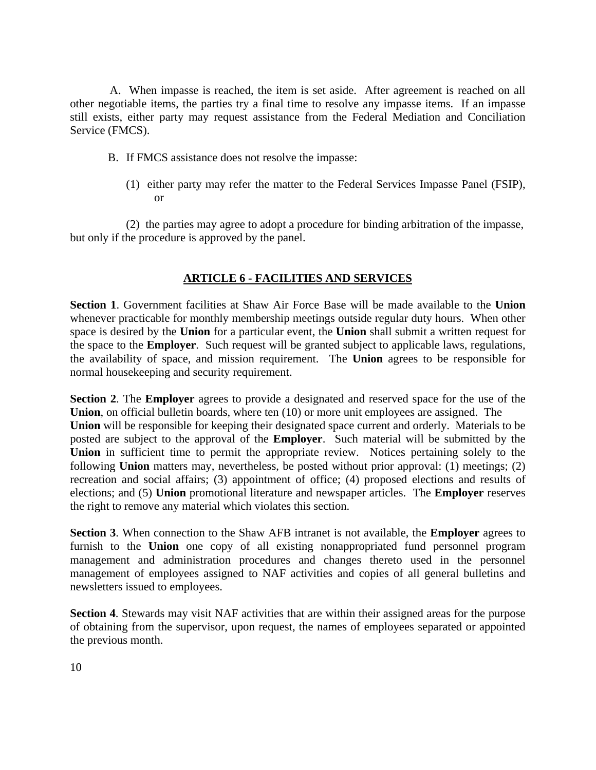A. When impasse is reached, the item is set aside. After agreement is reached on all other negotiable items, the parties try a final time to resolve any impasse items. If an impasse still exists, either party may request assistance from the Federal Mediation and Conciliation Service (FMCS).

- B. If FMCS assistance does not resolve the impasse:
	- (1) either party may refer the matter to the Federal Services Impasse Panel (FSIP), or

(2) the parties may agree to adopt a procedure for binding arbitration of the impasse, but only if the procedure is approved by the panel.

# **ARTICLE 6 - FACILITIES AND SERVICES**

**Section 1**. Government facilities at Shaw Air Force Base will be made available to the **Union** whenever practicable for monthly membership meetings outside regular duty hours. When other space is desired by the **Union** for a particular event, the **Union** shall submit a written request for the space to the **Employer**. Such request will be granted subject to applicable laws, regulations, the availability of space, and mission requirement. The **Union** agrees to be responsible for normal housekeeping and security requirement.

**Section 2**. The **Employer** agrees to provide a designated and reserved space for the use of the **Union**, on official bulletin boards, where ten (10) or more unit employees are assigned. The **Union** will be responsible for keeping their designated space current and orderly. Materials to be posted are subject to the approval of the **Employer**. Such material will be submitted by the Union in sufficient time to permit the appropriate review. Notices pertaining solely to the following **Union** matters may, nevertheless, be posted without prior approval: (1) meetings; (2) recreation and social affairs; (3) appointment of office; (4) proposed elections and results of elections; and (5) **Union** promotional literature and newspaper articles. The **Employer** reserves the right to remove any material which violates this section.

**Section 3**. When connection to the Shaw AFB intranet is not available, the **Employer** agrees to furnish to the **Union** one copy of all existing nonappropriated fund personnel program management and administration procedures and changes thereto used in the personnel management of employees assigned to NAF activities and copies of all general bulletins and newsletters issued to employees.

**Section 4**. Stewards may visit NAF activities that are within their assigned areas for the purpose of obtaining from the supervisor, upon request, the names of employees separated or appointed the previous month.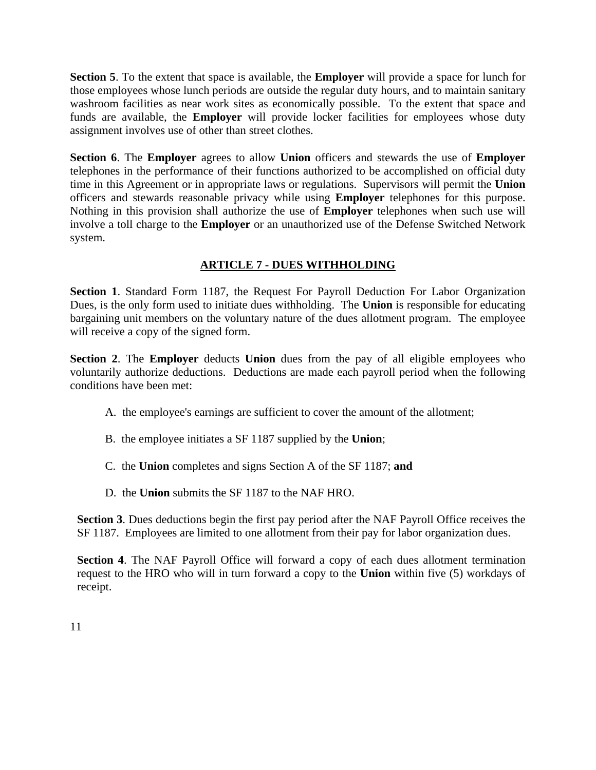**Section 5**. To the extent that space is available, the **Employer** will provide a space for lunch for those employees whose lunch periods are outside the regular duty hours, and to maintain sanitary washroom facilities as near work sites as economically possible. To the extent that space and funds are available, the **Employer** will provide locker facilities for employees whose duty assignment involves use of other than street clothes.

**Section 6**. The **Employer** agrees to allow **Union** officers and stewards the use of **Employer** telephones in the performance of their functions authorized to be accomplished on official duty time in this Agreement or in appropriate laws or regulations. Supervisors will permit the **Union**  officers and stewards reasonable privacy while using **Employer** telephones for this purpose. Nothing in this provision shall authorize the use of **Employer** telephones when such use will involve a toll charge to the **Employer** or an unauthorized use of the Defense Switched Network system.

# **ARTICLE 7 - DUES WITHHOLDING**

**Section 1**. Standard Form 1187, the Request For Payroll Deduction For Labor Organization Dues, is the only form used to initiate dues withholding. The **Union** is responsible for educating bargaining unit members on the voluntary nature of the dues allotment program. The employee will receive a copy of the signed form.

**Section 2**. The **Employer** deducts **Union** dues from the pay of all eligible employees who voluntarily authorize deductions. Deductions are made each payroll period when the following conditions have been met:

- A. the employee's earnings are sufficient to cover the amount of the allotment;
- B. the employee initiates a SF 1187 supplied by the **Union**;
- C. the **Union** completes and signs Section A of the SF 1187; **and**
- D. the **Union** submits the SF 1187 to the NAF HRO.

**Section 3**. Dues deductions begin the first pay period after the NAF Payroll Office receives the SF 1187. Employees are limited to one allotment from their pay for labor organization dues.

**Section 4**. The NAF Payroll Office will forward a copy of each dues allotment termination request to the HRO who will in turn forward a copy to the **Union** within five (5) workdays of receipt.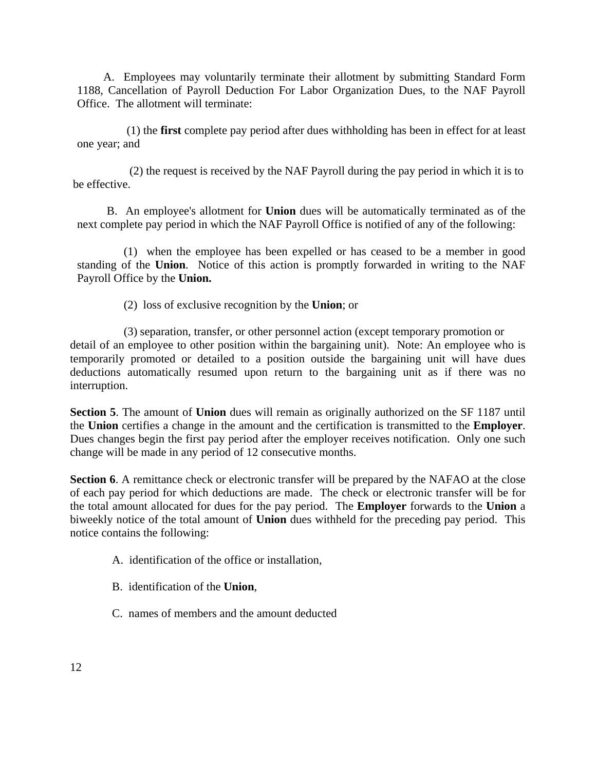A. Employees may voluntarily terminate their allotment by submitting Standard Form 1188, Cancellation of Payroll Deduction For Labor Organization Dues, to the NAF Payroll Office. The allotment will terminate:

 (1) the **first** complete pay period after dues withholding has been in effect for at least one year; and

 (2) the request is received by the NAF Payroll during the pay period in which it is to be effective.

 B. An employee's allotment for **Union** dues will be automatically terminated as of the next complete pay period in which the NAF Payroll Office is notified of any of the following:

 (1) when the employee has been expelled or has ceased to be a member in good standing of the **Union**. Notice of this action is promptly forwarded in writing to the NAF Payroll Office by the **Union.**

(2) loss of exclusive recognition by the **Union**; or

 (3) separation, transfer, or other personnel action (except temporary promotion or detail of an employee to other position within the bargaining unit). Note: An employee who is temporarily promoted or detailed to a position outside the bargaining unit will have dues deductions automatically resumed upon return to the bargaining unit as if there was no interruption.

**Section 5**. The amount of **Union** dues will remain as originally authorized on the SF 1187 until the **Union** certifies a change in the amount and the certification is transmitted to the **Employer**. Dues changes begin the first pay period after the employer receives notification. Only one such change will be made in any period of 12 consecutive months.

**Section 6.** A remittance check or electronic transfer will be prepared by the NAFAO at the close of each pay period for which deductions are made. The check or electronic transfer will be for the total amount allocated for dues for the pay period. The **Employer** forwards to the **Union** a biweekly notice of the total amount of **Union** dues withheld for the preceding pay period. This notice contains the following:

- A. identification of the office or installation,
- B. identification of the **Union**,
- C. names of members and the amount deducted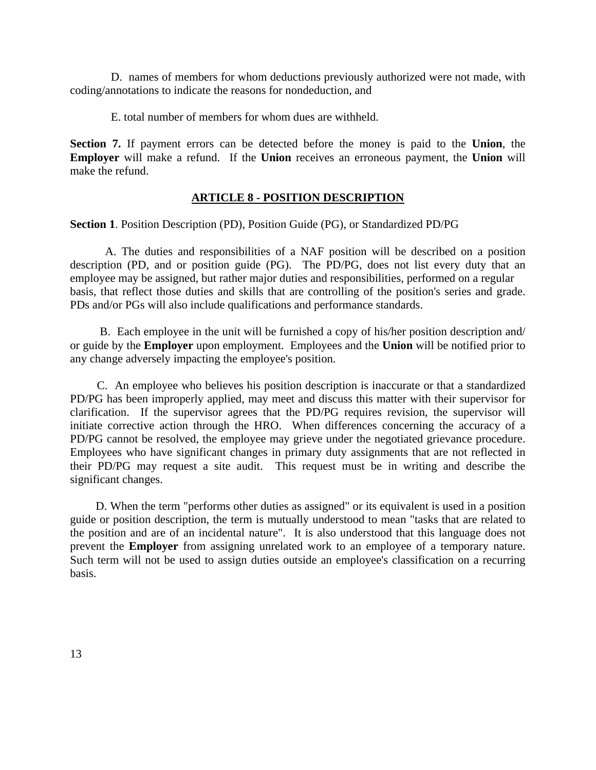D. names of members for whom deductions previously authorized were not made, with coding/annotations to indicate the reasons for nondeduction, and

E. total number of members for whom dues are withheld.

**Section 7.** If payment errors can be detected before the money is paid to the **Union**, the **Employer** will make a refund. If the **Union** receives an erroneous payment, the **Union** will make the refund.

# **ARTICLE 8 - POSITION DESCRIPTION**

**Section 1**. Position Description (PD), Position Guide (PG), or Standardized PD/PG

 A. The duties and responsibilities of a NAF position will be described on a position description (PD, and or position guide (PG). The PD/PG, does not list every duty that an employee may be assigned, but rather major duties and responsibilities, performed on a regular basis, that reflect those duties and skills that are controlling of the position's series and grade. PDs and/or PGs will also include qualifications and performance standards.

 B. Each employee in the unit will be furnished a copy of his/her position description and/ or guide by the **Employer** upon employment. Employees and the **Union** will be notified prior to any change adversely impacting the employee's position.

 C. An employee who believes his position description is inaccurate or that a standardized PD/PG has been improperly applied, may meet and discuss this matter with their supervisor for clarification. If the supervisor agrees that the PD/PG requires revision, the supervisor will initiate corrective action through the HRO. When differences concerning the accuracy of a PD/PG cannot be resolved, the employee may grieve under the negotiated grievance procedure. Employees who have significant changes in primary duty assignments that are not reflected in their PD/PG may request a site audit. This request must be in writing and describe the significant changes.

 D. When the term "performs other duties as assigned" or its equivalent is used in a position guide or position description, the term is mutually understood to mean "tasks that are related to the position and are of an incidental nature". It is also understood that this language does not prevent the **Employer** from assigning unrelated work to an employee of a temporary nature. Such term will not be used to assign duties outside an employee's classification on a recurring basis.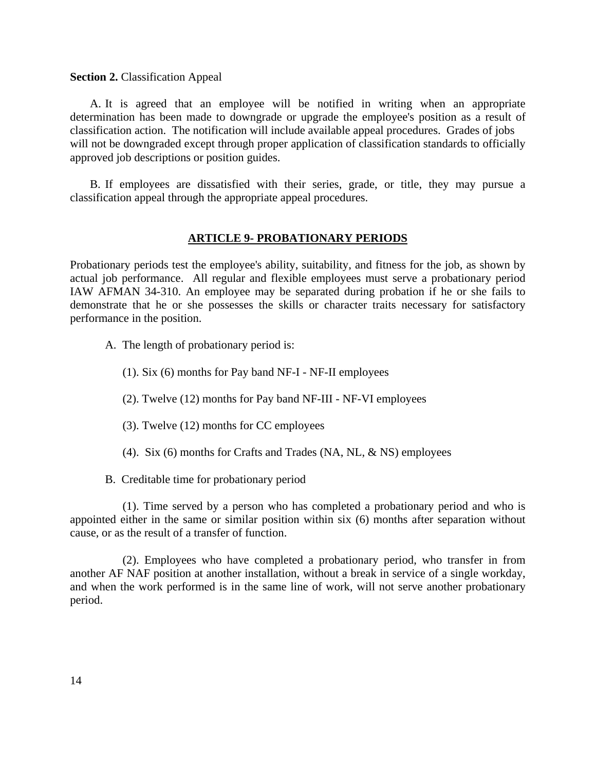#### **Section 2.** Classification Appeal

 A. It is agreed that an employee will be notified in writing when an appropriate determination has been made to downgrade or upgrade the employee's position as a result of classification action. The notification will include available appeal procedures. Grades of jobs will not be downgraded except through proper application of classification standards to officially approved job descriptions or position guides.

 B. If employees are dissatisfied with their series, grade, or title, they may pursue a classification appeal through the appropriate appeal procedures.

### **ARTICLE 9- PROBATIONARY PERIODS**

Probationary periods test the employee's ability, suitability, and fitness for the job, as shown by actual job performance. All regular and flexible employees must serve a probationary period IAW AFMAN 34-310. An employee may be separated during probation if he or she fails to demonstrate that he or she possesses the skills or character traits necessary for satisfactory performance in the position.

- A. The length of probationary period is:
	- (1). Six (6) months for Pay band NF-I NF-II employees
	- (2). Twelve (12) months for Pay band NF-III NF-VI employees
	- (3). Twelve (12) months for CC employees
	- (4). Six (6) months for Crafts and Trades (NA, NL, & NS) employees
- B. Creditable time for probationary period

 (1). Time served by a person who has completed a probationary period and who is appointed either in the same or similar position within six (6) months after separation without cause, or as the result of a transfer of function.

 (2). Employees who have completed a probationary period, who transfer in from another AF NAF position at another installation, without a break in service of a single workday, and when the work performed is in the same line of work, will not serve another probationary period.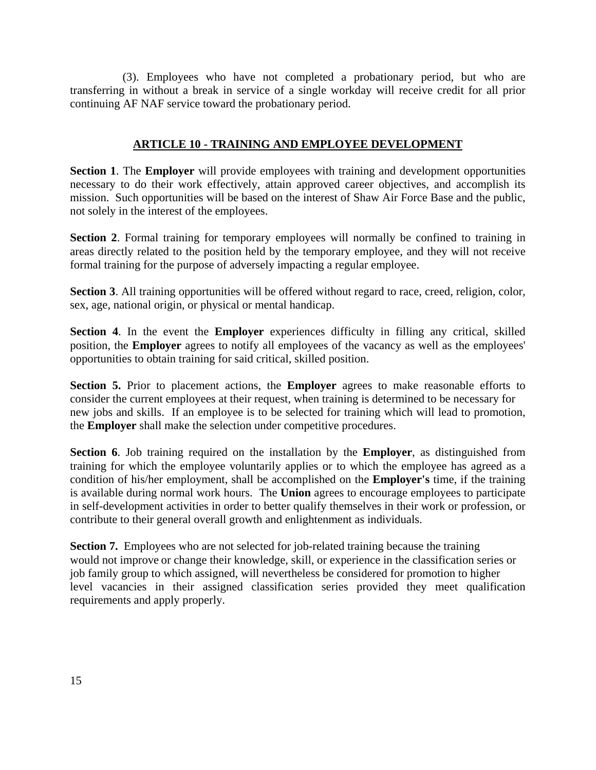(3). Employees who have not completed a probationary period, but who are transferring in without a break in service of a single workday will receive credit for all prior continuing AF NAF service toward the probationary period.

# **ARTICLE 10 - TRAINING AND EMPLOYEE DEVELOPMENT**

**Section 1**. The **Employer** will provide employees with training and development opportunities necessary to do their work effectively, attain approved career objectives, and accomplish its mission. Such opportunities will be based on the interest of Shaw Air Force Base and the public, not solely in the interest of the employees.

**Section 2.** Formal training for temporary employees will normally be confined to training in areas directly related to the position held by the temporary employee, and they will not receive formal training for the purpose of adversely impacting a regular employee.

**Section 3**. All training opportunities will be offered without regard to race, creed, religion, color, sex, age, national origin, or physical or mental handicap.

**Section 4**. In the event the **Employer** experiences difficulty in filling any critical, skilled position, the **Employer** agrees to notify all employees of the vacancy as well as the employees' opportunities to obtain training for said critical, skilled position.

**Section 5.** Prior to placement actions, the **Employer** agrees to make reasonable efforts to consider the current employees at their request, when training is determined to be necessary for new jobs and skills. If an employee is to be selected for training which will lead to promotion, the **Employer** shall make the selection under competitive procedures.

**Section 6**. Job training required on the installation by the **Employer**, as distinguished from training for which the employee voluntarily applies or to which the employee has agreed as a condition of his/her employment, shall be accomplished on the **Employer's** time, if the training is available during normal work hours. The **Union** agrees to encourage employees to participate in self-development activities in order to better qualify themselves in their work or profession, or contribute to their general overall growth and enlightenment as individuals.

**Section 7.** Employees who are not selected for job-related training because the training would not improve or change their knowledge, skill, or experience in the classification series or job family group to which assigned, will nevertheless be considered for promotion to higher level vacancies in their assigned classification series provided they meet qualification requirements and apply properly.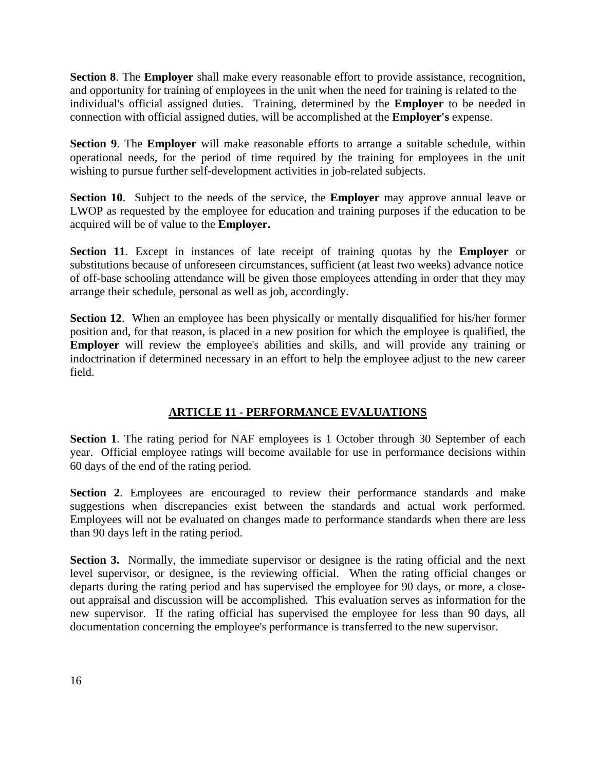**Section 8**. The **Employer** shall make every reasonable effort to provide assistance, recognition, and opportunity for training of employees in the unit when the need for training is related to the individual's official assigned duties. Training, determined by the **Employer** to be needed in connection with official assigned duties, will be accomplished at the **Employer's** expense.

**Section 9**. The **Employer** will make reasonable efforts to arrange a suitable schedule, within operational needs, for the period of time required by the training for employees in the unit wishing to pursue further self-development activities in job-related subjects.

**Section 10**. Subject to the needs of the service, the **Employer** may approve annual leave or LWOP as requested by the employee for education and training purposes if the education to be acquired will be of value to the **Employer.**

**Section 11**. Except in instances of late receipt of training quotas by the **Employer** or substitutions because of unforeseen circumstances, sufficient (at least two weeks) advance notice of off-base schooling attendance will be given those employees attending in order that they may arrange their schedule, personal as well as job, accordingly.

**Section 12.** When an employee has been physically or mentally disqualified for his/her former position and, for that reason, is placed in a new position for which the employee is qualified, the **Employer** will review the employee's abilities and skills, and will provide any training or indoctrination if determined necessary in an effort to help the employee adjust to the new career field.

# **ARTICLE 11 - PERFORMANCE EVALUATIONS**

**Section 1**. The rating period for NAF employees is 1 October through 30 September of each year. Official employee ratings will become available for use in performance decisions within 60 days of the end of the rating period.

**Section 2**. Employees are encouraged to review their performance standards and make suggestions when discrepancies exist between the standards and actual work performed. Employees will not be evaluated on changes made to performance standards when there are less than 90 days left in the rating period.

**Section 3.** Normally, the immediate supervisor or designee is the rating official and the next level supervisor, or designee, is the reviewing official. When the rating official changes or departs during the rating period and has supervised the employee for 90 days, or more, a closeout appraisal and discussion will be accomplished. This evaluation serves as information for the new supervisor. If the rating official has supervised the employee for less than 90 days, all documentation concerning the employee's performance is transferred to the new supervisor.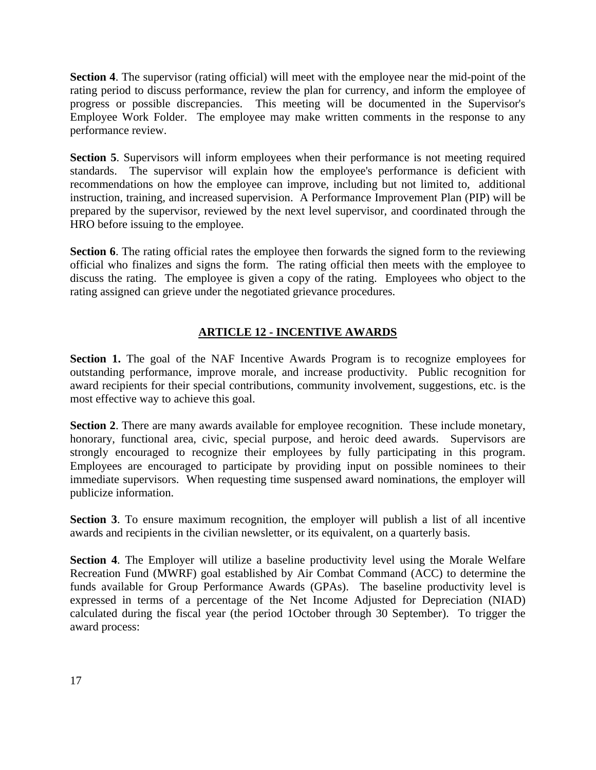**Section 4**. The supervisor (rating official) will meet with the employee near the mid-point of the rating period to discuss performance, review the plan for currency, and inform the employee of progress or possible discrepancies. This meeting will be documented in the Supervisor's Employee Work Folder. The employee may make written comments in the response to any performance review.

**Section 5**. Supervisors will inform employees when their performance is not meeting required standards. The supervisor will explain how the employee's performance is deficient with recommendations on how the employee can improve, including but not limited to, additional instruction, training, and increased supervision. A Performance Improvement Plan (PIP) will be prepared by the supervisor, reviewed by the next level supervisor, and coordinated through the HRO before issuing to the employee.

**Section 6**. The rating official rates the employee then forwards the signed form to the reviewing official who finalizes and signs the form. The rating official then meets with the employee to discuss the rating. The employee is given a copy of the rating. Employees who object to the rating assigned can grieve under the negotiated grievance procedures.

# **ARTICLE 12 - INCENTIVE AWARDS**

**Section 1.** The goal of the NAF Incentive Awards Program is to recognize employees for outstanding performance, improve morale, and increase productivity. Public recognition for award recipients for their special contributions, community involvement, suggestions, etc. is the most effective way to achieve this goal.

**Section 2.** There are many awards available for employee recognition. These include monetary, honorary, functional area, civic, special purpose, and heroic deed awards. Supervisors are strongly encouraged to recognize their employees by fully participating in this program. Employees are encouraged to participate by providing input on possible nominees to their immediate supervisors. When requesting time suspensed award nominations, the employer will publicize information.

**Section 3**. To ensure maximum recognition, the employer will publish a list of all incentive awards and recipients in the civilian newsletter, or its equivalent, on a quarterly basis.

**Section 4**. The Employer will utilize a baseline productivity level using the Morale Welfare Recreation Fund (MWRF) goal established by Air Combat Command (ACC) to determine the funds available for Group Performance Awards (GPAs). The baseline productivity level is expressed in terms of a percentage of the Net Income Adjusted for Depreciation (NIAD) calculated during the fiscal year (the period 1October through 30 September). To trigger the award process: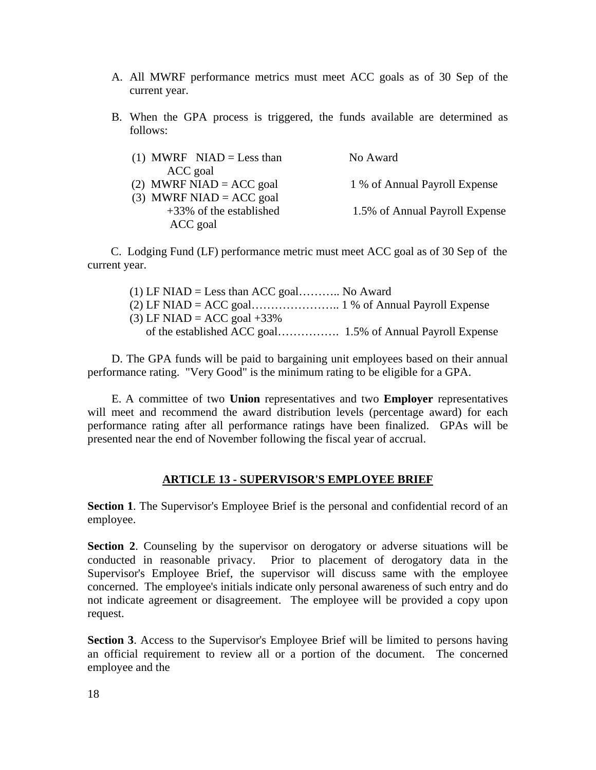- A. All MWRF performance metrics must meet ACC goals as of 30 Sep of the current year.
- B. When the GPA process is triggered, the funds available are determined as follows:

| (1) MWRF NIAD = Less than  | No Award                       |
|----------------------------|--------------------------------|
| ACC goal                   |                                |
| (2) MWRF NIAD = ACC goal   | 1 % of Annual Payroll Expense  |
| (3) MWRF NIAD = $ACC$ goal |                                |
| $+33\%$ of the established | 1.5% of Annual Payroll Expense |
| ACC goal                   |                                |

 C. Lodging Fund (LF) performance metric must meet ACC goal as of 30 Sep of the current year.

(1) LF NIAD = Less than ACC goal........... No Award (2) LF NIAD = ACC goal………………….. 1 % of Annual Payroll Expense  $(3)$  LF NIAD = ACC goal +33% of the established ACC goal……………. 1.5% of Annual Payroll Expense

 D. The GPA funds will be paid to bargaining unit employees based on their annual performance rating. "Very Good" is the minimum rating to be eligible for a GPA.

 E. A committee of two **Union** representatives and two **Employer** representatives will meet and recommend the award distribution levels (percentage award) for each performance rating after all performance ratings have been finalized. GPAs will be presented near the end of November following the fiscal year of accrual.

## **ARTICLE 13 - SUPERVISOR'S EMPLOYEE BRIEF**

Section 1. The Supervisor's Employee Brief is the personal and confidential record of an employee.

**Section 2**. Counseling by the supervisor on derogatory or adverse situations will be conducted in reasonable privacy. Prior to placement of derogatory data in the Supervisor's Employee Brief, the supervisor will discuss same with the employee concerned. The employee's initials indicate only personal awareness of such entry and do not indicate agreement or disagreement. The employee will be provided a copy upon request.

**Section 3**. Access to the Supervisor's Employee Brief will be limited to persons having an official requirement to review all or a portion of the document. The concerned employee and the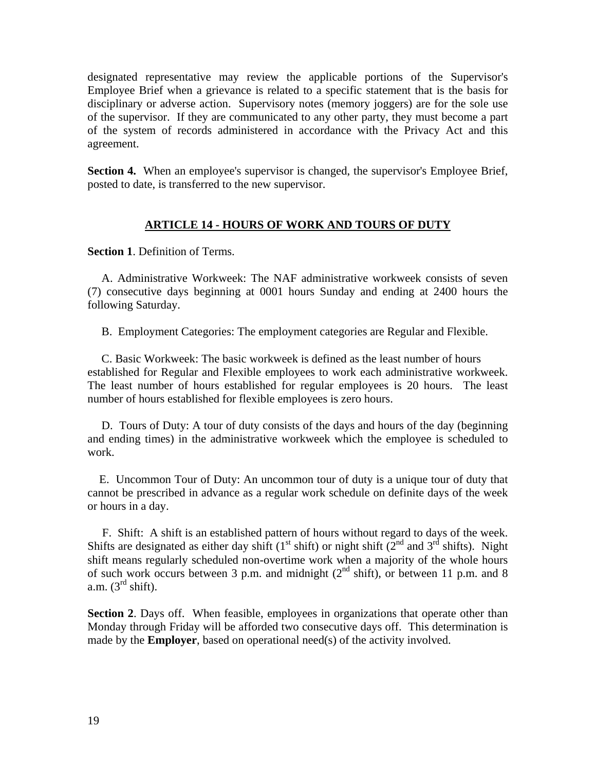designated representative may review the applicable portions of the Supervisor's Employee Brief when a grievance is related to a specific statement that is the basis for disciplinary or adverse action. Supervisory notes (memory joggers) are for the sole use of the supervisor. If they are communicated to any other party, they must become a part of the system of records administered in accordance with the Privacy Act and this agreement.

**Section 4.** When an employee's supervisor is changed, the supervisor's Employee Brief, posted to date, is transferred to the new supervisor.

# **ARTICLE 14 - HOURS OF WORK AND TOURS OF DUTY**

**Section 1**. Definition of Terms.

A. Administrative Workweek: The NAF administrative workweek consists of seven (7) consecutive days beginning at 0001 hours Sunday and ending at 2400 hours the following Saturday.

B. Employment Categories: The employment categories are Regular and Flexible.

C. Basic Workweek: The basic workweek is defined as the least number of hours established for Regular and Flexible employees to work each administrative workweek. The least number of hours established for regular employees is 20 hours. The least number of hours established for flexible employees is zero hours.

D. Tours of Duty: A tour of duty consists of the days and hours of the day (beginning and ending times) in the administrative workweek which the employee is scheduled to work.

 E. Uncommon Tour of Duty: An uncommon tour of duty is a unique tour of duty that cannot be prescribed in advance as a regular work schedule on definite days of the week or hours in a day.

 F. Shift: A shift is an established pattern of hours without regard to days of the week. Shifts are designated as either day shift (1<sup>st</sup> shift) or night shift ( $2^{nd}$  and  $3^{rd}$  shifts). Night shift means regularly scheduled non-overtime work when a majority of the whole hours of such work occurs between 3 p.m. and midnight  $(2^{nd} \text{ shift})$ , or between 11 p.m. and 8 a.m.  $(3<sup>rd</sup> shift)$ .

**Section 2**. Days off. When feasible, employees in organizations that operate other than Monday through Friday will be afforded two consecutive days off. This determination is made by the **Employer**, based on operational need(s) of the activity involved.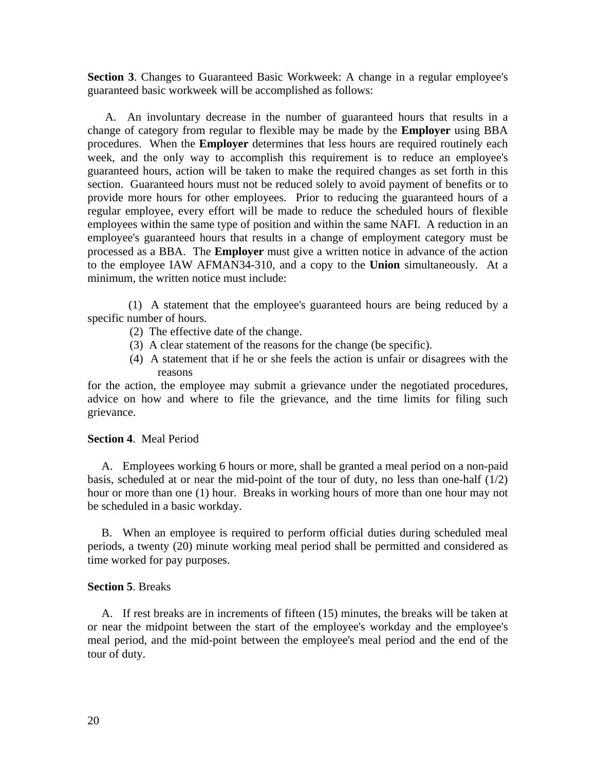**Section 3**. Changes to Guaranteed Basic Workweek: A change in a regular employee's guaranteed basic workweek will be accomplished as follows:

 A. An involuntary decrease in the number of guaranteed hours that results in a change of category from regular to flexible may be made by the **Employer** using BBA procedures. When the **Employer** determines that less hours are required routinely each week, and the only way to accomplish this requirement is to reduce an employee's guaranteed hours, action will be taken to make the required changes as set forth in this section. Guaranteed hours must not be reduced solely to avoid payment of benefits or to provide more hours for other employees. Prior to reducing the guaranteed hours of a regular employee, every effort will be made to reduce the scheduled hours of flexible employees within the same type of position and within the same NAFI. A reduction in an employee's guaranteed hours that results in a change of employment category must be processed as a BBA. The **Employer** must give a written notice in advance of the action to the employee IAW AFMAN34-310, and a copy to the **Union** simultaneously. At a minimum, the written notice must include:

 (1) A statement that the employee's guaranteed hours are being reduced by a specific number of hours.

- (2) The effective date of the change.
- (3) A clear statement of the reasons for the change (be specific).
- (4) A statement that if he or she feels the action is unfair or disagrees with the reasons

for the action, the employee may submit a grievance under the negotiated procedures, advice on how and where to file the grievance, and the time limits for filing such grievance.

## **Section 4**. Meal Period

A. Employees working 6 hours or more, shall be granted a meal period on a non-paid basis, scheduled at or near the mid-point of the tour of duty, no less than one-half  $(1/2)$ hour or more than one (1) hour. Breaks in working hours of more than one hour may not be scheduled in a basic workday.

B. When an employee is required to perform official duties during scheduled meal periods, a twenty (20) minute working meal period shall be permitted and considered as time worked for pay purposes.

## **Section 5**. Breaks

A. If rest breaks are in increments of fifteen (15) minutes, the breaks will be taken at or near the midpoint between the start of the employee's workday and the employee's meal period, and the mid-point between the employee's meal period and the end of the tour of duty.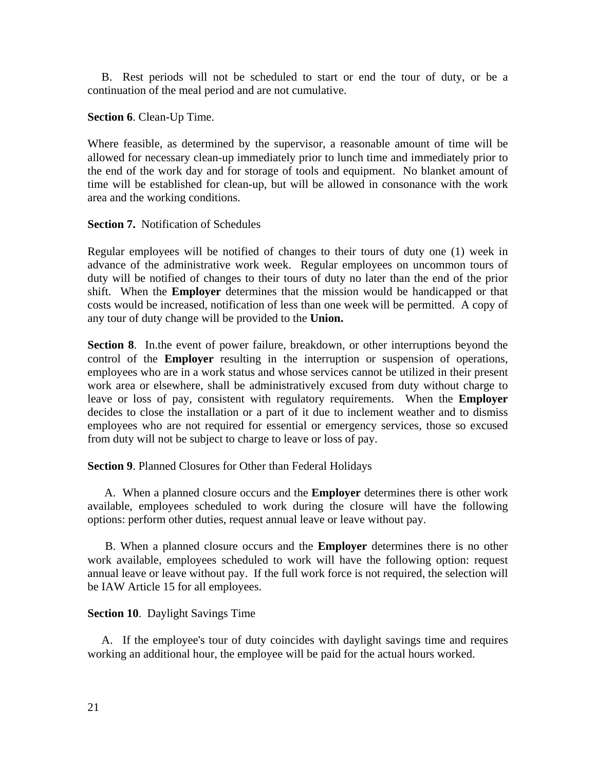B. Rest periods will not be scheduled to start or end the tour of duty, or be a continuation of the meal period and are not cumulative.

**Section 6**. Clean-Up Time.

Where feasible, as determined by the supervisor, a reasonable amount of time will be allowed for necessary clean-up immediately prior to lunch time and immediately prior to the end of the work day and for storage of tools and equipment. No blanket amount of time will be established for clean-up, but will be allowed in consonance with the work area and the working conditions.

# **Section 7.** Notification of Schedules

Regular employees will be notified of changes to their tours of duty one (1) week in advance of the administrative work week. Regular employees on uncommon tours of duty will be notified of changes to their tours of duty no later than the end of the prior shift. When the **Employer** determines that the mission would be handicapped or that costs would be increased, notification of less than one week will be permitted. A copy of any tour of duty change will be provided to the **Union.**

**Section 8**. In.the event of power failure, breakdown, or other interruptions beyond the control of the **Employer** resulting in the interruption or suspension of operations, employees who are in a work status and whose services cannot be utilized in their present work area or elsewhere, shall be administratively excused from duty without charge to leave or loss of pay, consistent with regulatory requirements. When the **Employer**  decides to close the installation or a part of it due to inclement weather and to dismiss employees who are not required for essential or emergency services, those so excused from duty will not be subject to charge to leave or loss of pay.

# **Section 9**. Planned Closures for Other than Federal Holidays

 A. When a planned closure occurs and the **Employer** determines there is other work available, employees scheduled to work during the closure will have the following options: perform other duties, request annual leave or leave without pay.

 B. When a planned closure occurs and the **Employer** determines there is no other work available, employees scheduled to work will have the following option: request annual leave or leave without pay. If the full work force is not required, the selection will be IAW Article 15 for all employees.

## **Section 10**. Daylight Savings Time

A. If the employee's tour of duty coincides with daylight savings time and requires working an additional hour, the employee will be paid for the actual hours worked.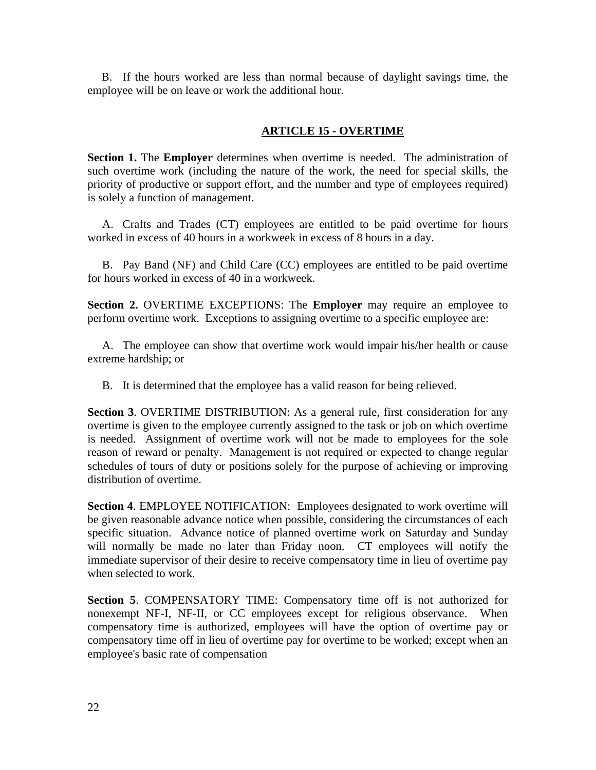B. If the hours worked are less than normal because of daylight savings time, the employee will be on leave or work the additional hour.

# **ARTICLE 15 - OVERTIME**

**Section 1.** The **Employer** determines when overtime is needed. The administration of such overtime work (including the nature of the work, the need for special skills, the priority of productive or support effort, and the number and type of employees required) is solely a function of management.

 A. Crafts and Trades (CT) employees are entitled to be paid overtime for hours worked in excess of 40 hours in a workweek in excess of 8 hours in a day.

 B. Pay Band (NF) and Child Care (CC) employees are entitled to be paid overtime for hours worked in excess of 40 in a workweek.

**Section 2.** OVERTIME EXCEPTIONS: The **Employer** may require an employee to perform overtime work. Exceptions to assigning overtime to a specific employee are:

 A. The employee can show that overtime work would impair his/her health or cause extreme hardship; or

B. It is determined that the employee has a valid reason for being relieved.

**Section 3**. OVERTIME DISTRIBUTION: As a general rule, first consideration for any overtime is given to the employee currently assigned to the task or job on which overtime is needed. Assignment of overtime work will not be made to employees for the sole reason of reward or penalty. Management is not required or expected to change regular schedules of tours of duty or positions solely for the purpose of achieving or improving distribution of overtime.

**Section 4**. EMPLOYEE NOTIFICATION: Employees designated to work overtime will be given reasonable advance notice when possible, considering the circumstances of each specific situation. Advance notice of planned overtime work on Saturday and Sunday will normally be made no later than Friday noon. CT employees will notify the immediate supervisor of their desire to receive compensatory time in lieu of overtime pay when selected to work.

**Section 5**. COMPENSATORY TIME: Compensatory time off is not authorized for nonexempt NF-I, NF-II, or CC employees except for religious observance. When compensatory time is authorized, employees will have the option of overtime pay or compensatory time off in lieu of overtime pay for overtime to be worked; except when an employee's basic rate of compensation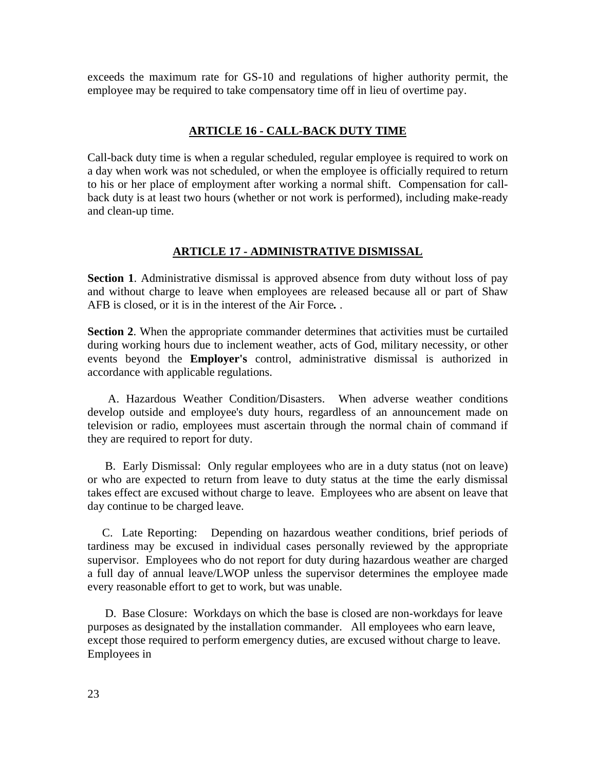exceeds the maximum rate for GS-10 and regulations of higher authority permit, the employee may be required to take compensatory time off in lieu of overtime pay.

## **ARTICLE 16 - CALL-BACK DUTY TIME**

Call-back duty time is when a regular scheduled, regular employee is required to work on a day when work was not scheduled, or when the employee is officially required to return to his or her place of employment after working a normal shift. Compensation for callback duty is at least two hours (whether or not work is performed), including make-ready and clean-up time.

## **ARTICLE 17 - ADMINISTRATIVE DISMISSAL**

**Section 1**. Administrative dismissal is approved absence from duty without loss of pay and without charge to leave when employees are released because all or part of Shaw AFB is closed, or it is in the interest of the Air Force*.* .

**Section 2**. When the appropriate commander determines that activities must be curtailed during working hours due to inclement weather, acts of God, military necessity, or other events beyond the **Employer's** control, administrative dismissal is authorized in accordance with applicable regulations.

A. Hazardous Weather Condition/Disasters. When adverse weather conditions develop outside and employee's duty hours, regardless of an announcement made on television or radio, employees must ascertain through the normal chain of command if they are required to report for duty.

**B.** Early Dismissal: Only regular employees who are in a duty status (not on leave) or who are expected to return from leave to duty status at the time the early dismissal takes effect are excused without charge to leave. Employees who are absent on leave that day continue to be charged leave.

C. Late Reporting: Depending on hazardous weather conditions, brief periods of tardiness may be excused in individual cases personally reviewed by the appropriate supervisor. Employees who do not report for duty during hazardous weather are charged a full day of annual leave/LWOP unless the supervisor determines the employee made every reasonable effort to get to work, but was unable.

 D. Base Closure: Workdays on which the base is closed are non-workdays for leave purposes as designated by the installation commander. All employees who earn leave, except those required to perform emergency duties, are excused without charge to leave. Employees in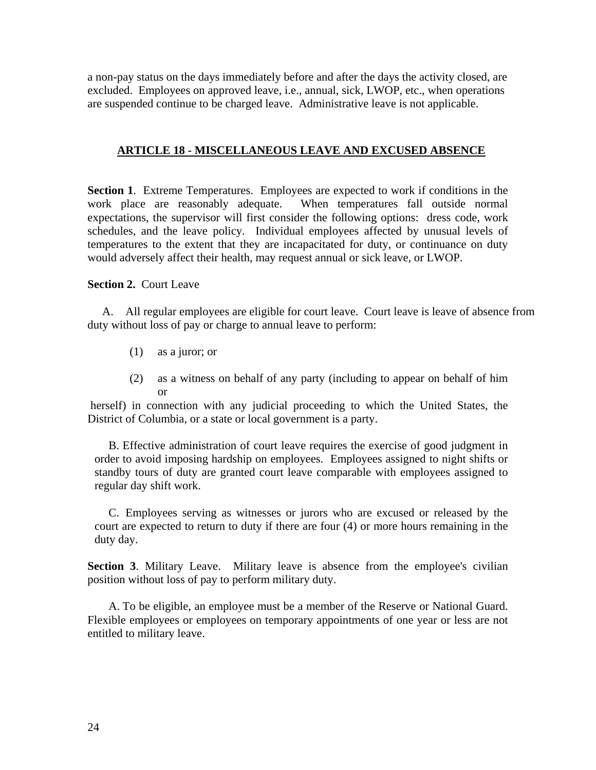a non-pay status on the days immediately before and after the days the activity closed, are excluded. Employees on approved leave, i.e., annual, sick, LWOP, etc., when operations are suspended continue to be charged leave. Administrative leave is not applicable.

# **ARTICLE 18 - MISCELLANEOUS LEAVE AND EXCUSED ABSENCE**

**Section 1**. Extreme Temperatures. Employees are expected to work if conditions in the work place are reasonably adequate. When temperatures fall outside normal expectations, the supervisor will first consider the following options: dress code, work schedules, and the leave policy. Individual employees affected by unusual levels of temperatures to the extent that they are incapacitated for duty, or continuance on duty would adversely affect their health, may request annual or sick leave, or LWOP.

## **Section 2.** Court Leave

 A. All regular employees are eligible for court leave. Court leave is leave of absence from duty without loss of pay or charge to annual leave to perform:

- (1) as a juror; or
- (2) as a witness on behalf of any party (including to appear on behalf of him or

 herself) in connection with any judicial proceeding to which the United States, the District of Columbia, or a state or local government is a party.

B. Effective administration of court leave requires the exercise of good judgment in order to avoid imposing hardship on employees. Employees assigned to night shifts or standby tours of duty are granted court leave comparable with employees assigned to regular day shift work.

C. Employees serving as witnesses or jurors who are excused or released by the court are expected to return to duty if there are four (4) or more hours remaining in the duty day.

**Section 3.** Military Leave. Military leave is absence from the employee's civilian position without loss of pay to perform military duty.

A. To be eligible, an employee must be a member of the Reserve or National Guard. Flexible employees or employees on temporary appointments of one year or less are not entitled to military leave.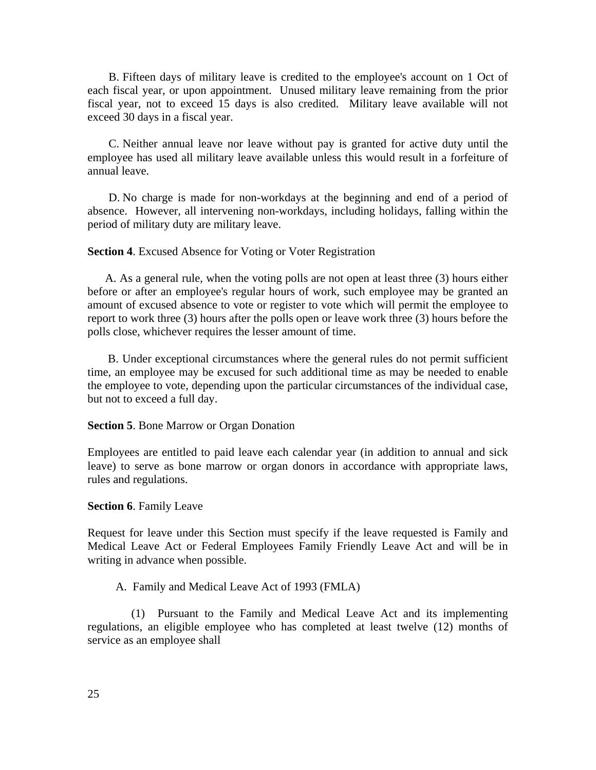B. Fifteen days of military leave is credited to the employee's account on 1 Oct of each fiscal year, or upon appointment. Unused military leave remaining from the prior fiscal year, not to exceed 15 days is also credited. Military leave available will not exceed 30 days in a fiscal year.

C. Neither annual leave nor leave without pay is granted for active duty until the employee has used all military leave available unless this would result in a forfeiture of annual leave.

D. No charge is made for non-workdays at the beginning and end of a period of absence. However, all intervening non-workdays, including holidays, falling within the period of military duty are military leave.

#### **Section 4**. Excused Absence for Voting or Voter Registration

 A. As a general rule, when the voting polls are not open at least three (3) hours either before or after an employee's regular hours of work, such employee may be granted an amount of excused absence to vote or register to vote which will permit the employee to report to work three (3) hours after the polls open or leave work three (3) hours before the polls close, whichever requires the lesser amount of time.

 B. Under exceptional circumstances where the general rules do not permit sufficient time, an employee may be excused for such additional time as may be needed to enable the employee to vote, depending upon the particular circumstances of the individual case, but not to exceed a full day.

#### **Section 5**. Bone Marrow or Organ Donation

Employees are entitled to paid leave each calendar year (in addition to annual and sick leave) to serve as bone marrow or organ donors in accordance with appropriate laws, rules and regulations.

#### **Section 6**. Family Leave

Request for leave under this Section must specify if the leave requested is Family and Medical Leave Act or Federal Employees Family Friendly Leave Act and will be in writing in advance when possible.

#### A. Family and Medical Leave Act of 1993 (FMLA)

 (1) Pursuant to the Family and Medical Leave Act and its implementing regulations, an eligible employee who has completed at least twelve (12) months of service as an employee shall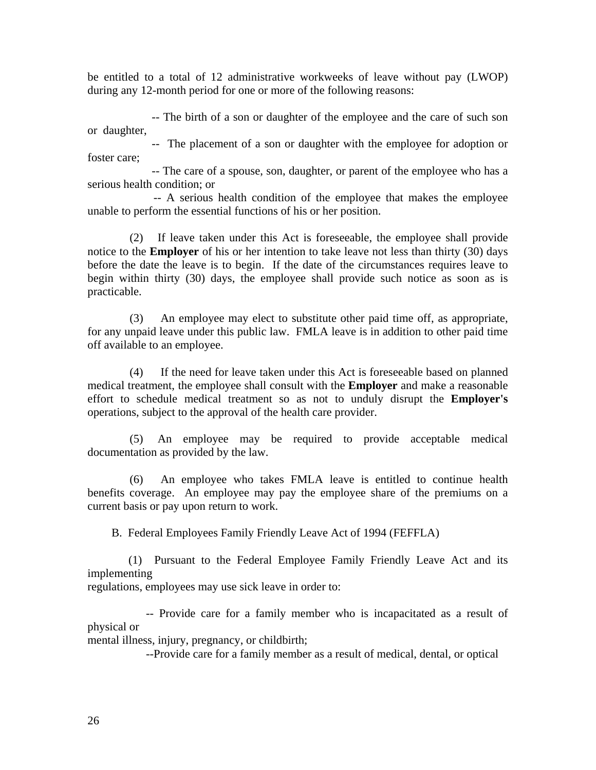be entitled to a total of 12 administrative workweeks of leave without pay (LWOP) during any 12-month period for one or more of the following reasons:

 -- The birth of a son or daughter of the employee and the care of such son or daughter,

 -- The placement of a son or daughter with the employee for adoption or foster care;

 -- The care of a spouse, son, daughter, or parent of the employee who has a serious health condition; or

 -- A serious health condition of the employee that makes the employee unable to perform the essential functions of his or her position.

(2) If leave taken under this Act is foreseeable, the employee shall provide notice to the **Employer** of his or her intention to take leave not less than thirty (30) days before the date the leave is to begin. If the date of the circumstances requires leave to begin within thirty (30) days, the employee shall provide such notice as soon as is practicable.

(3) An employee may elect to substitute other paid time off, as appropriate, for any unpaid leave under this public law. FMLA leave is in addition to other paid time off available to an employee.

(4) If the need for leave taken under this Act is foreseeable based on planned medical treatment, the employee shall consult with the **Employer** and make a reasonable effort to schedule medical treatment so as not to unduly disrupt the **Employer's**  operations, subject to the approval of the health care provider.

(5) An employee may be required to provide acceptable medical documentation as provided by the law.

(6) An employee who takes FMLA leave is entitled to continue health benefits coverage. An employee may pay the employee share of the premiums on a current basis or pay upon return to work.

B. Federal Employees Family Friendly Leave Act of 1994 (FEFFLA)

 (1) Pursuant to the Federal Employee Family Friendly Leave Act and its implementing

regulations, employees may use sick leave in order to:

 -- Provide care for a family member who is incapacitated as a result of physical or

mental illness, injury, pregnancy, or childbirth;

--Provide care for a family member as a result of medical, dental, or optical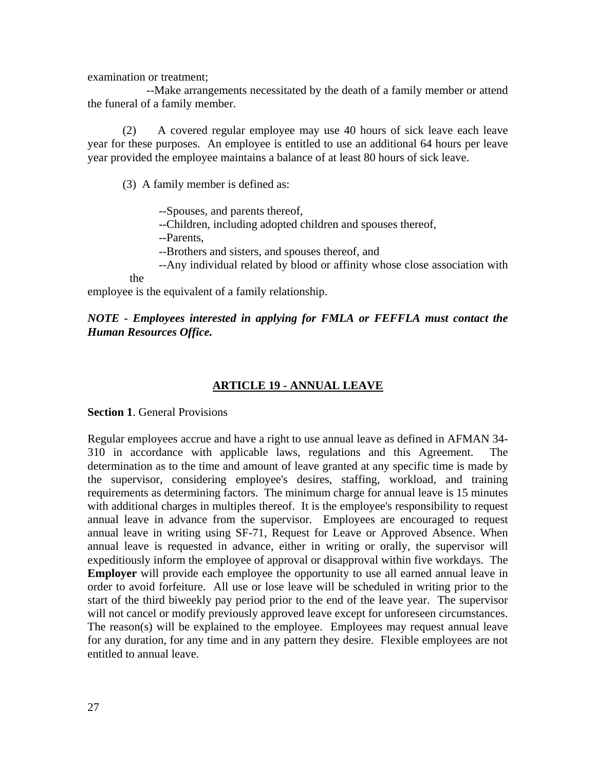examination or treatment;

 --Make arrangements necessitated by the death of a family member or attend the funeral of a family member.

(2) A covered regular employee may use 40 hours of sick leave each leave year for these purposes. An employee is entitled to use an additional 64 hours per leave year provided the employee maintains a balance of at least 80 hours of sick leave.

(3) A family member is defined as:

--Spouses, and parents thereof,

--Children, including adopted children and spouses thereof,

--Parents,

--Brothers and sisters, and spouses thereof, and

--Any individual related by blood or affinity whose close association with

the

employee is the equivalent of a family relationship.

## *NOTE - Employees interested in applying for FMLA or FEFFLA must contact the Human Resources Office.*

# **ARTICLE 19 - ANNUAL LEAVE**

**Section 1**. General Provisions

Regular employees accrue and have a right to use annual leave as defined in AFMAN 34- 310 in accordance with applicable laws, regulations and this Agreement. The determination as to the time and amount of leave granted at any specific time is made by the supervisor, considering employee's desires, staffing, workload, and training requirements as determining factors. The minimum charge for annual leave is 15 minutes with additional charges in multiples thereof. It is the employee's responsibility to request annual leave in advance from the supervisor. Employees are encouraged to request annual leave in writing using SF-71, Request for Leave or Approved Absence. When annual leave is requested in advance, either in writing or orally, the supervisor will expeditiously inform the employee of approval or disapproval within five workdays. The **Employer** will provide each employee the opportunity to use all earned annual leave in order to avoid forfeiture. All use or lose leave will be scheduled in writing prior to the start of the third biweekly pay period prior to the end of the leave year. The supervisor will not cancel or modify previously approved leave except for unforeseen circumstances. The reason(s) will be explained to the employee. Employees may request annual leave for any duration, for any time and in any pattern they desire. Flexible employees are not entitled to annual leave.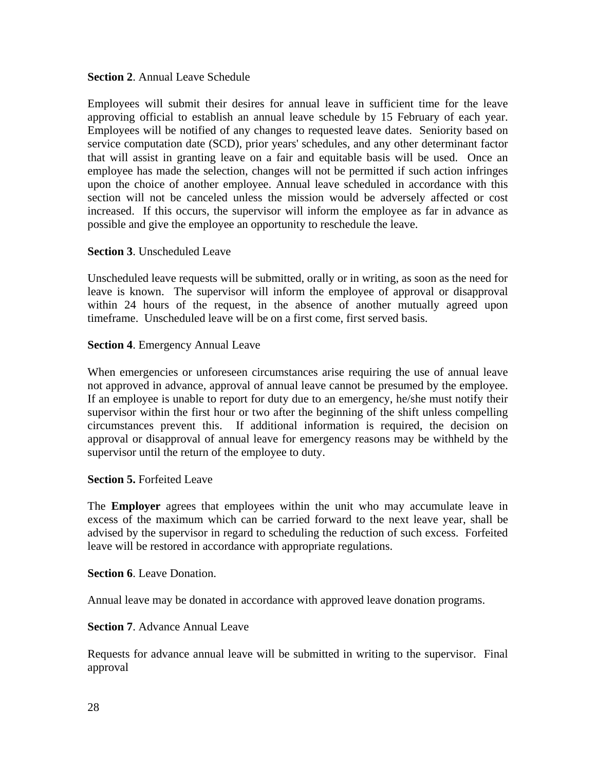## **Section 2**. Annual Leave Schedule

Employees will submit their desires for annual leave in sufficient time for the leave approving official to establish an annual leave schedule by 15 February of each year. Employees will be notified of any changes to requested leave dates. Seniority based on service computation date (SCD), prior years' schedules, and any other determinant factor that will assist in granting leave on a fair and equitable basis will be used. Once an employee has made the selection, changes will not be permitted if such action infringes upon the choice of another employee. Annual leave scheduled in accordance with this section will not be canceled unless the mission would be adversely affected or cost increased. If this occurs, the supervisor will inform the employee as far in advance as possible and give the employee an opportunity to reschedule the leave.

## **Section 3**. Unscheduled Leave

Unscheduled leave requests will be submitted, orally or in writing, as soon as the need for leave is known. The supervisor will inform the employee of approval or disapproval within 24 hours of the request, in the absence of another mutually agreed upon timeframe. Unscheduled leave will be on a first come, first served basis.

### **Section 4**. Emergency Annual Leave

When emergencies or unforeseen circumstances arise requiring the use of annual leave not approved in advance, approval of annual leave cannot be presumed by the employee. If an employee is unable to report for duty due to an emergency, he/she must notify their supervisor within the first hour or two after the beginning of the shift unless compelling circumstances prevent this. If additional information is required, the decision on approval or disapproval of annual leave for emergency reasons may be withheld by the supervisor until the return of the employee to duty.

## **Section 5.** Forfeited Leave

The **Employer** agrees that employees within the unit who may accumulate leave in excess of the maximum which can be carried forward to the next leave year, shall be advised by the supervisor in regard to scheduling the reduction of such excess. Forfeited leave will be restored in accordance with appropriate regulations.

**Section 6**. Leave Donation.

Annual leave may be donated in accordance with approved leave donation programs.

#### **Section 7**. Advance Annual Leave

Requests for advance annual leave will be submitted in writing to the supervisor. Final approval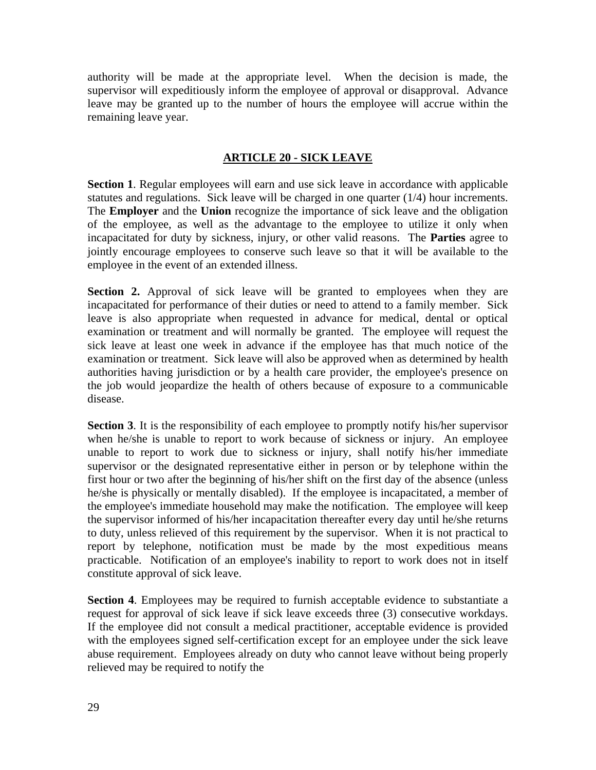authority will be made at the appropriate level. When the decision is made, the supervisor will expeditiously inform the employee of approval or disapproval. Advance leave may be granted up to the number of hours the employee will accrue within the remaining leave year.

# **ARTICLE 20 - SICK LEAVE**

**Section 1**. Regular employees will earn and use sick leave in accordance with applicable statutes and regulations. Sick leave will be charged in one quarter (1/4) hour increments. The **Employer** and the **Union** recognize the importance of sick leave and the obligation of the employee, as well as the advantage to the employee to utilize it only when incapacitated for duty by sickness, injury, or other valid reasons. The **Parties** agree to jointly encourage employees to conserve such leave so that it will be available to the employee in the event of an extended illness.

**Section 2.** Approval of sick leave will be granted to employees when they are incapacitated for performance of their duties or need to attend to a family member. Sick leave is also appropriate when requested in advance for medical, dental or optical examination or treatment and will normally be granted. The employee will request the sick leave at least one week in advance if the employee has that much notice of the examination or treatment. Sick leave will also be approved when as determined by health authorities having jurisdiction or by a health care provider, the employee's presence on the job would jeopardize the health of others because of exposure to a communicable disease.

**Section 3.** It is the responsibility of each employee to promptly notify his/her supervisor when he/she is unable to report to work because of sickness or injury. An employee unable to report to work due to sickness or injury, shall notify his/her immediate supervisor or the designated representative either in person or by telephone within the first hour or two after the beginning of his/her shift on the first day of the absence (unless he/she is physically or mentally disabled). If the employee is incapacitated, a member of the employee's immediate household may make the notification. The employee will keep the supervisor informed of his/her incapacitation thereafter every day until he/she returns to duty, unless relieved of this requirement by the supervisor. When it is not practical to report by telephone, notification must be made by the most expeditious means practicable. Notification of an employee's inability to report to work does not in itself constitute approval of sick leave.

**Section 4**. Employees may be required to furnish acceptable evidence to substantiate a request for approval of sick leave if sick leave exceeds three (3) consecutive workdays. If the employee did not consult a medical practitioner, acceptable evidence is provided with the employees signed self-certification except for an employee under the sick leave abuse requirement. Employees already on duty who cannot leave without being properly relieved may be required to notify the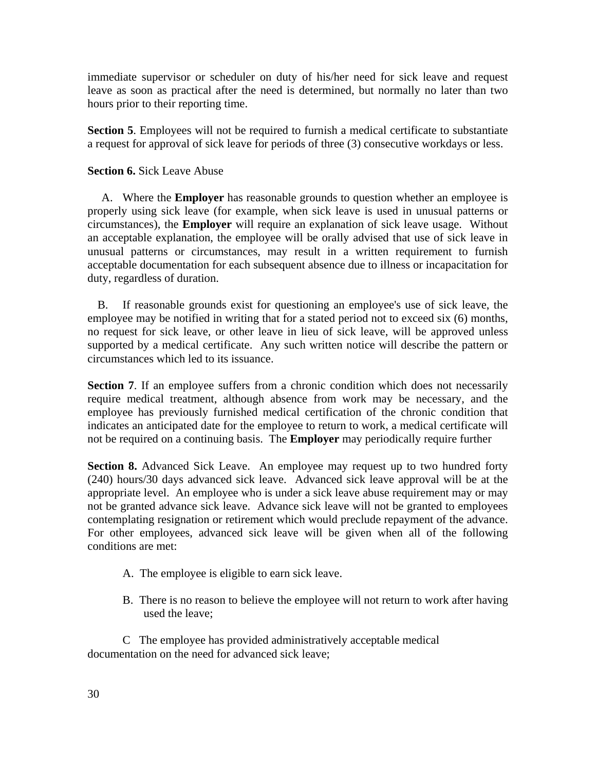immediate supervisor or scheduler on duty of his/her need for sick leave and request leave as soon as practical after the need is determined, but normally no later than two hours prior to their reporting time.

**Section 5.** Employees will not be required to furnish a medical certificate to substantiate a request for approval of sick leave for periods of three (3) consecutive workdays or less.

## **Section 6.** Sick Leave Abuse

A. Where the **Employer** has reasonable grounds to question whether an employee is properly using sick leave (for example, when sick leave is used in unusual patterns or circumstances), the **Employer** will require an explanation of sick leave usage. Without an acceptable explanation, the employee will be orally advised that use of sick leave in unusual patterns or circumstances, may result in a written requirement to furnish acceptable documentation for each subsequent absence due to illness or incapacitation for duty, regardless of duration.

 B. If reasonable grounds exist for questioning an employee's use of sick leave, the employee may be notified in writing that for a stated period not to exceed six (6) months, no request for sick leave, or other leave in lieu of sick leave, will be approved unless supported by a medical certificate. Any such written notice will describe the pattern or circumstances which led to its issuance.

**Section 7.** If an employee suffers from a chronic condition which does not necessarily require medical treatment, although absence from work may be necessary, and the employee has previously furnished medical certification of the chronic condition that indicates an anticipated date for the employee to return to work, a medical certificate will not be required on a continuing basis. The **Employer** may periodically require further

**Section 8.** Advanced Sick Leave. An employee may request up to two hundred forty (240) hours/30 days advanced sick leave. Advanced sick leave approval will be at the appropriate level. An employee who is under a sick leave abuse requirement may or may not be granted advance sick leave. Advance sick leave will not be granted to employees contemplating resignation or retirement which would preclude repayment of the advance. For other employees, advanced sick leave will be given when all of the following conditions are met:

- A. The employee is eligible to earn sick leave.
- B. There is no reason to believe the employee will not return to work after having used the leave;

 C The employee has provided administratively acceptable medical documentation on the need for advanced sick leave;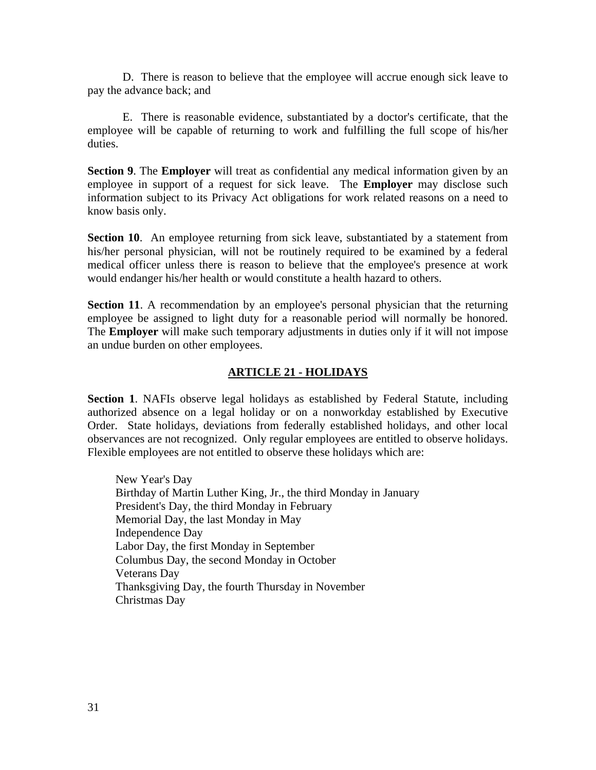D. There is reason to believe that the employee will accrue enough sick leave to pay the advance back; and

 E. There is reasonable evidence, substantiated by a doctor's certificate, that the employee will be capable of returning to work and fulfilling the full scope of his/her duties.

**Section 9**. The **Employer** will treat as confidential any medical information given by an employee in support of a request for sick leave. The **Employer** may disclose such information subject to its Privacy Act obligations for work related reasons on a need to know basis only.

**Section 10.** An employee returning from sick leave, substantiated by a statement from his/her personal physician, will not be routinely required to be examined by a federal medical officer unless there is reason to believe that the employee's presence at work would endanger his/her health or would constitute a health hazard to others.

**Section 11.** A recommendation by an employee's personal physician that the returning employee be assigned to light duty for a reasonable period will normally be honored. The **Employer** will make such temporary adjustments in duties only if it will not impose an undue burden on other employees.

# **ARTICLE 21 - HOLIDAYS**

**Section 1**. NAFIs observe legal holidays as established by Federal Statute, including authorized absence on a legal holiday or on a nonworkday established by Executive Order. State holidays, deviations from federally established holidays, and other local observances are not recognized. Only regular employees are entitled to observe holidays. Flexible employees are not entitled to observe these holidays which are:

New Year's Day Birthday of Martin Luther King, Jr., the third Monday in January President's Day, the third Monday in February Memorial Day, the last Monday in May Independence Day Labor Day, the first Monday in September Columbus Day, the second Monday in October Veterans Day Thanksgiving Day, the fourth Thursday in November Christmas Day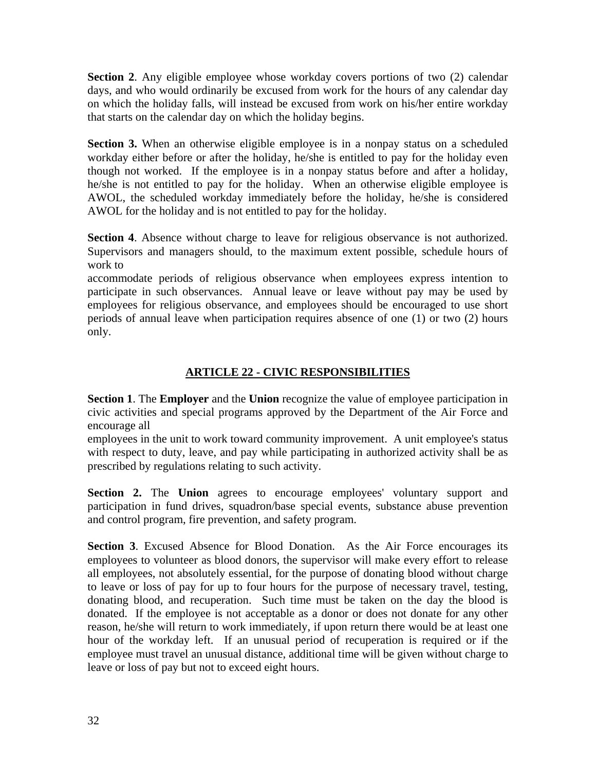**Section 2.** Any eligible employee whose workday covers portions of two (2) calendar days, and who would ordinarily be excused from work for the hours of any calendar day on which the holiday falls, will instead be excused from work on his/her entire workday that starts on the calendar day on which the holiday begins.

**Section 3.** When an otherwise eligible employee is in a nonpay status on a scheduled workday either before or after the holiday, he/she is entitled to pay for the holiday even though not worked. If the employee is in a nonpay status before and after a holiday, he/she is not entitled to pay for the holiday. When an otherwise eligible employee is AWOL, the scheduled workday immediately before the holiday, he/she is considered AWOL for the holiday and is not entitled to pay for the holiday.

**Section 4**. Absence without charge to leave for religious observance is not authorized. Supervisors and managers should, to the maximum extent possible, schedule hours of work to

accommodate periods of religious observance when employees express intention to participate in such observances. Annual leave or leave without pay may be used by employees for religious observance, and employees should be encouraged to use short periods of annual leave when participation requires absence of one (1) or two (2) hours only.

# **ARTICLE 22 - CIVIC RESPONSIBILITIES**

**Section 1**. The **Employer** and the **Union** recognize the value of employee participation in civic activities and special programs approved by the Department of the Air Force and encourage all

employees in the unit to work toward community improvement. A unit employee's status with respect to duty, leave, and pay while participating in authorized activity shall be as prescribed by regulations relating to such activity.

**Section 2.** The **Union** agrees to encourage employees' voluntary support and participation in fund drives, squadron/base special events, substance abuse prevention and control program, fire prevention, and safety program.

**Section 3**. Excused Absence for Blood Donation. As the Air Force encourages its employees to volunteer as blood donors, the supervisor will make every effort to release all employees, not absolutely essential, for the purpose of donating blood without charge to leave or loss of pay for up to four hours for the purpose of necessary travel, testing, donating blood, and recuperation. Such time must be taken on the day the blood is donated. If the employee is not acceptable as a donor or does not donate for any other reason, he/she will return to work immediately, if upon return there would be at least one hour of the workday left. If an unusual period of recuperation is required or if the employee must travel an unusual distance, additional time will be given without charge to leave or loss of pay but not to exceed eight hours.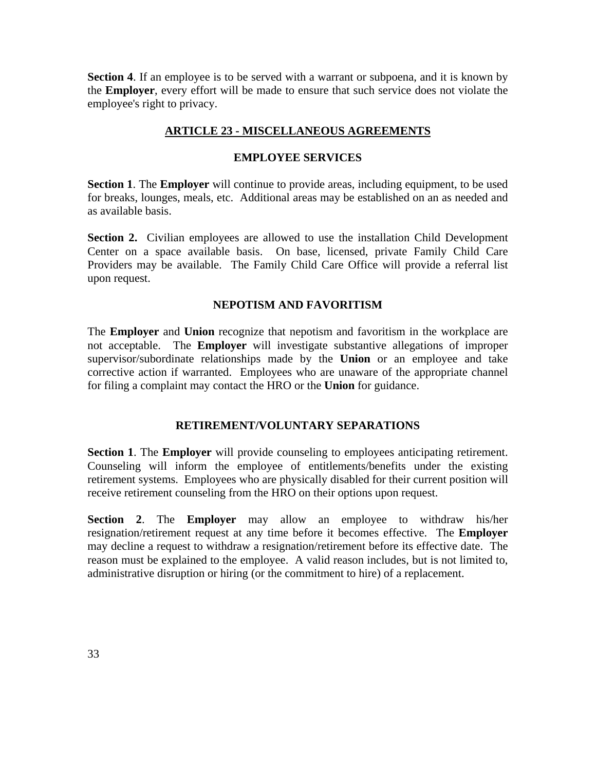**Section 4.** If an employee is to be served with a warrant or subpoena, and it is known by the **Employer**, every effort will be made to ensure that such service does not violate the employee's right to privacy.

# **ARTICLE 23 - MISCELLANEOUS AGREEMENTS**

## **EMPLOYEE SERVICES**

**Section 1**. The **Employer** will continue to provide areas, including equipment, to be used for breaks, lounges, meals, etc. Additional areas may be established on an as needed and as available basis.

**Section 2.** Civilian employees are allowed to use the installation Child Development Center on a space available basis. On base, licensed, private Family Child Care Providers may be available. The Family Child Care Office will provide a referral list upon request.

# **NEPOTISM AND FAVORITISM**

The **Employer** and **Union** recognize that nepotism and favoritism in the workplace are not acceptable. The **Employer** will investigate substantive allegations of improper supervisor/subordinate relationships made by the **Union** or an employee and take corrective action if warranted. Employees who are unaware of the appropriate channel for filing a complaint may contact the HRO or the **Union** for guidance.

## **RETIREMENT/VOLUNTARY SEPARATIONS**

**Section 1**. The **Employer** will provide counseling to employees anticipating retirement. Counseling will inform the employee of entitlements/benefits under the existing retirement systems. Employees who are physically disabled for their current position will receive retirement counseling from the HRO on their options upon request.

**Section 2**. The **Employer** may allow an employee to withdraw his/her resignation/retirement request at any time before it becomes effective. The **Employer** may decline a request to withdraw a resignation/retirement before its effective date. The reason must be explained to the employee. A valid reason includes, but is not limited to, administrative disruption or hiring (or the commitment to hire) of a replacement.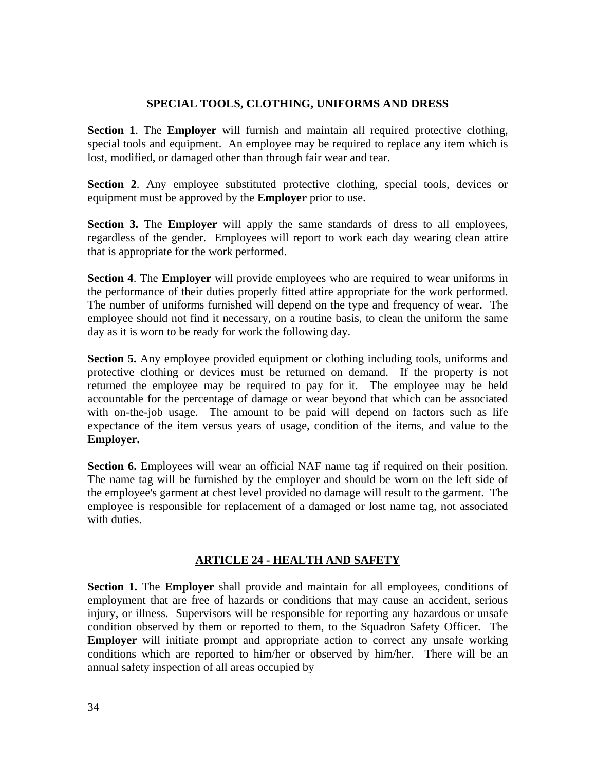# **SPECIAL TOOLS, CLOTHING, UNIFORMS AND DRESS**

**Section 1**. The **Employer** will furnish and maintain all required protective clothing, special tools and equipment. An employee may be required to replace any item which is lost, modified, or damaged other than through fair wear and tear.

**Section 2**. Any employee substituted protective clothing, special tools, devices or equipment must be approved by the **Employer** prior to use.

**Section 3.** The **Employer** will apply the same standards of dress to all employees, regardless of the gender. Employees will report to work each day wearing clean attire that is appropriate for the work performed.

**Section 4**. The **Employer** will provide employees who are required to wear uniforms in the performance of their duties properly fitted attire appropriate for the work performed. The number of uniforms furnished will depend on the type and frequency of wear. The employee should not find it necessary, on a routine basis, to clean the uniform the same day as it is worn to be ready for work the following day.

**Section 5.** Any employee provided equipment or clothing including tools, uniforms and protective clothing or devices must be returned on demand. If the property is not returned the employee may be required to pay for it. The employee may be held accountable for the percentage of damage or wear beyond that which can be associated with on-the-job usage. The amount to be paid will depend on factors such as life expectance of the item versus years of usage, condition of the items, and value to the **Employer.** 

**Section 6.** Employees will wear an official NAF name tag if required on their position. The name tag will be furnished by the employer and should be worn on the left side of the employee's garment at chest level provided no damage will result to the garment. The employee is responsible for replacement of a damaged or lost name tag, not associated with duties.

# **ARTICLE 24 - HEALTH AND SAFETY**

**Section 1.** The **Employer** shall provide and maintain for all employees, conditions of employment that are free of hazards or conditions that may cause an accident, serious injury, or illness. Supervisors will be responsible for reporting any hazardous or unsafe condition observed by them or reported to them, to the Squadron Safety Officer. The **Employer** will initiate prompt and appropriate action to correct any unsafe working conditions which are reported to him/her or observed by him/her. There will be an annual safety inspection of all areas occupied by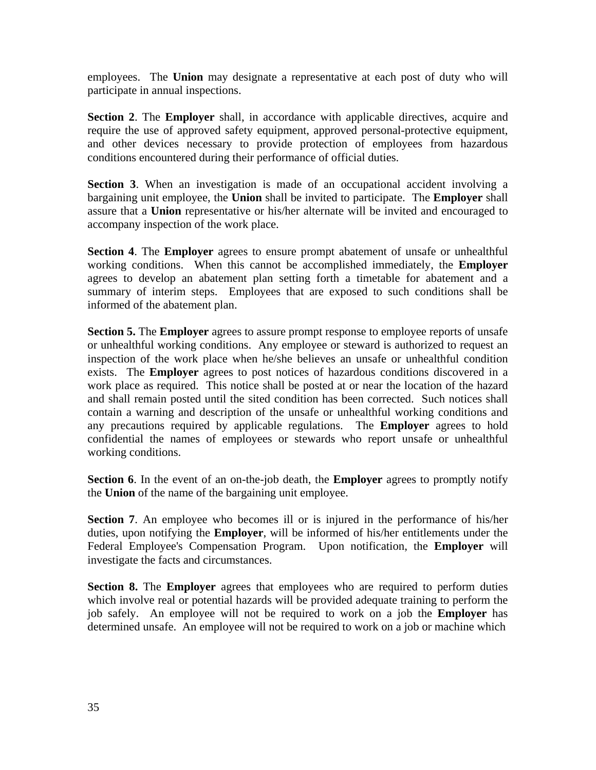employees. The **Union** may designate a representative at each post of duty who will participate in annual inspections.

**Section 2**. The **Employer** shall, in accordance with applicable directives, acquire and require the use of approved safety equipment, approved personal-protective equipment, and other devices necessary to provide protection of employees from hazardous conditions encountered during their performance of official duties.

**Section 3**. When an investigation is made of an occupational accident involving a bargaining unit employee, the **Union** shall be invited to participate. The **Employer** shall assure that a **Union** representative or his/her alternate will be invited and encouraged to accompany inspection of the work place.

**Section 4**. The **Employer** agrees to ensure prompt abatement of unsafe or unhealthful working conditions. When this cannot be accomplished immediately, the **Employer** agrees to develop an abatement plan setting forth a timetable for abatement and a summary of interim steps. Employees that are exposed to such conditions shall be informed of the abatement plan.

**Section 5.** The **Employer** agrees to assure prompt response to employee reports of unsafe or unhealthful working conditions. Any employee or steward is authorized to request an inspection of the work place when he/she believes an unsafe or unhealthful condition exists. The **Employer** agrees to post notices of hazardous conditions discovered in a work place as required. This notice shall be posted at or near the location of the hazard and shall remain posted until the sited condition has been corrected. Such notices shall contain a warning and description of the unsafe or unhealthful working conditions and any precautions required by applicable regulations. The **Employer** agrees to hold confidential the names of employees or stewards who report unsafe or unhealthful working conditions.

**Section 6**. In the event of an on-the-job death, the **Employer** agrees to promptly notify the **Union** of the name of the bargaining unit employee.

**Section 7.** An employee who becomes ill or is injured in the performance of his/her duties, upon notifying the **Employer**, will be informed of his/her entitlements under the Federal Employee's Compensation Program. Upon notification, the **Employer** will investigate the facts and circumstances.

**Section 8.** The **Employer** agrees that employees who are required to perform duties which involve real or potential hazards will be provided adequate training to perform the job safely. An employee will not be required to work on a job the **Employer** has determined unsafe. An employee will not be required to work on a job or machine which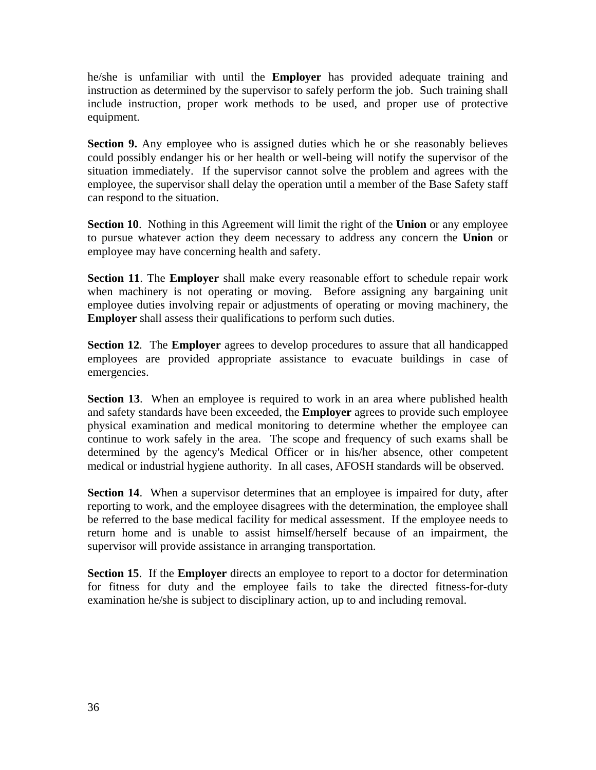he/she is unfamiliar with until the **Employer** has provided adequate training and instruction as determined by the supervisor to safely perform the job. Such training shall include instruction, proper work methods to be used, and proper use of protective equipment.

**Section 9.** Any employee who is assigned duties which he or she reasonably believes could possibly endanger his or her health or well-being will notify the supervisor of the situation immediately. If the supervisor cannot solve the problem and agrees with the employee, the supervisor shall delay the operation until a member of the Base Safety staff can respond to the situation.

**Section 10**. Nothing in this Agreement will limit the right of the **Union** or any employee to pursue whatever action they deem necessary to address any concern the **Union** or employee may have concerning health and safety.

**Section 11**. The **Employer** shall make every reasonable effort to schedule repair work when machinery is not operating or moving. Before assigning any bargaining unit employee duties involving repair or adjustments of operating or moving machinery, the **Employer** shall assess their qualifications to perform such duties.

**Section 12**. The **Employer** agrees to develop procedures to assure that all handicapped employees are provided appropriate assistance to evacuate buildings in case of emergencies.

**Section 13**. When an employee is required to work in an area where published health and safety standards have been exceeded, the **Employer** agrees to provide such employee physical examination and medical monitoring to determine whether the employee can continue to work safely in the area. The scope and frequency of such exams shall be determined by the agency's Medical Officer or in his/her absence, other competent medical or industrial hygiene authority. In all cases, AFOSH standards will be observed.

**Section 14**. When a supervisor determines that an employee is impaired for duty, after reporting to work, and the employee disagrees with the determination, the employee shall be referred to the base medical facility for medical assessment. If the employee needs to return home and is unable to assist himself/herself because of an impairment, the supervisor will provide assistance in arranging transportation.

**Section 15**. If the **Employer** directs an employee to report to a doctor for determination for fitness for duty and the employee fails to take the directed fitness-for-duty examination he/she is subject to disciplinary action, up to and including removal.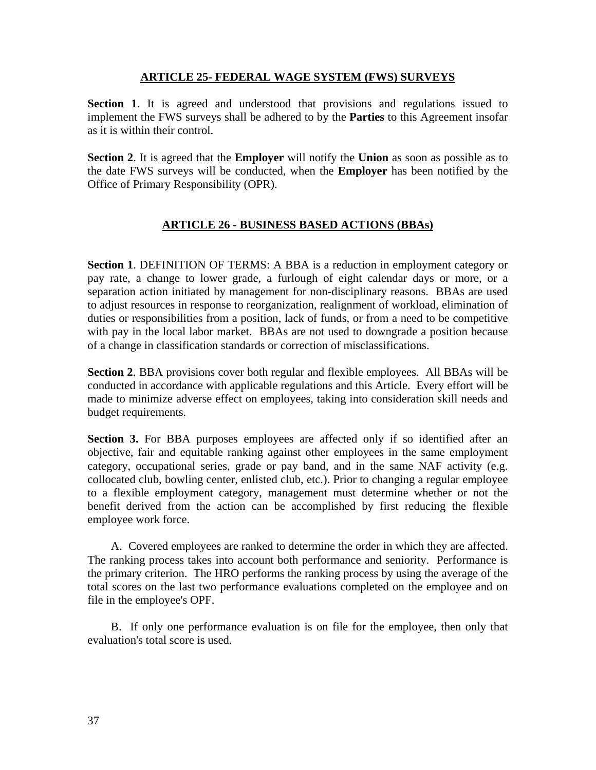## **ARTICLE 25- FEDERAL WAGE SYSTEM (FWS) SURVEYS**

**Section 1**. It is agreed and understood that provisions and regulations issued to implement the FWS surveys shall be adhered to by the **Parties** to this Agreement insofar as it is within their control.

**Section 2**. It is agreed that the **Employer** will notify the **Union** as soon as possible as to the date FWS surveys will be conducted, when the **Employer** has been notified by the Office of Primary Responsibility (OPR).

# **ARTICLE 26 - BUSINESS BASED ACTIONS (BBAs)**

**Section 1**. DEFINITION OF TERMS: A BBA is a reduction in employment category or pay rate, a change to lower grade, a furlough of eight calendar days or more, or a separation action initiated by management for non-disciplinary reasons. BBAs are used to adjust resources in response to reorganization, realignment of workload, elimination of duties or responsibilities from a position, lack of funds, or from a need to be competitive with pay in the local labor market. BBAs are not used to downgrade a position because of a change in classification standards or correction of misclassifications.

**Section 2**. BBA provisions cover both regular and flexible employees. All BBAs will be conducted in accordance with applicable regulations and this Article. Every effort will be made to minimize adverse effect on employees, taking into consideration skill needs and budget requirements.

**Section 3.** For BBA purposes employees are affected only if so identified after an objective, fair and equitable ranking against other employees in the same employment category, occupational series, grade or pay band, and in the same NAF activity (e.g. collocated club, bowling center, enlisted club, etc.). Prior to changing a regular employee to a flexible employment category, management must determine whether or not the benefit derived from the action can be accomplished by first reducing the flexible employee work force.

 A. Covered employees are ranked to determine the order in which they are affected. The ranking process takes into account both performance and seniority. Performance is the primary criterion. The HRO performs the ranking process by using the average of the total scores on the last two performance evaluations completed on the employee and on file in the employee's OPF.

 B. If only one performance evaluation is on file for the employee, then only that evaluation's total score is used.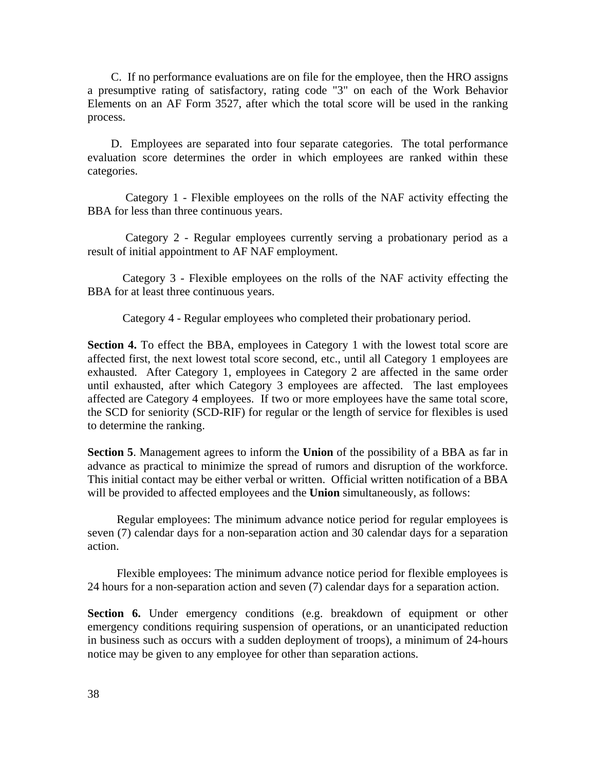C. If no performance evaluations are on file for the employee, then the HRO assigns a presumptive rating of satisfactory, rating code "3" on each of the Work Behavior Elements on an AF Form 3527, after which the total score will be used in the ranking process.

 D. Employees are separated into four separate categories. The total performance evaluation score determines the order in which employees are ranked within these categories.

 Category 1 - Flexible employees on the rolls of the NAF activity effecting the BBA for less than three continuous years.

 Category 2 - Regular employees currently serving a probationary period as a result of initial appointment to AF NAF employment.

Category 3 - Flexible employees on the rolls of the NAF activity effecting the BBA for at least three continuous years.

Category 4 - Regular employees who completed their probationary period.

**Section 4.** To effect the BBA, employees in Category 1 with the lowest total score are affected first, the next lowest total score second, etc., until all Category 1 employees are exhausted. After Category 1, employees in Category 2 are affected in the same order until exhausted, after which Category 3 employees are affected. The last employees affected are Category 4 employees. If two or more employees have the same total score, the SCD for seniority (SCD-RIF) for regular or the length of service for flexibles is used to determine the ranking.

**Section 5**. Management agrees to inform the **Union** of the possibility of a BBA as far in advance as practical to minimize the spread of rumors and disruption of the workforce. This initial contact may be either verbal or written. Official written notification of a BBA will be provided to affected employees and the **Union** simultaneously, as follows:

 Regular employees: The minimum advance notice period for regular employees is seven (7) calendar days for a non-separation action and 30 calendar days for a separation action.

 Flexible employees: The minimum advance notice period for flexible employees is 24 hours for a non-separation action and seven (7) calendar days for a separation action.

**Section 6.** Under emergency conditions (e.g. breakdown of equipment or other emergency conditions requiring suspension of operations, or an unanticipated reduction in business such as occurs with a sudden deployment of troops), a minimum of 24-hours notice may be given to any employee for other than separation actions.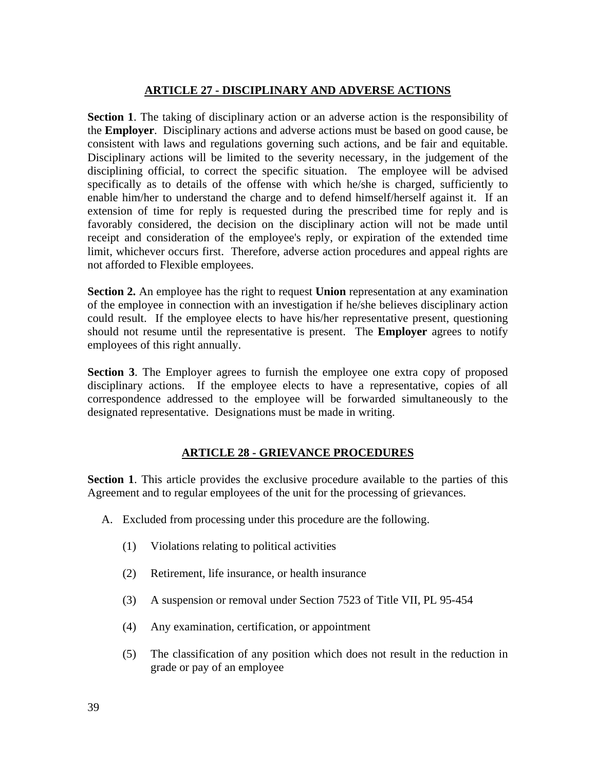# **ARTICLE 27 - DISCIPLINARY AND ADVERSE ACTIONS**

**Section 1**. The taking of disciplinary action or an adverse action is the responsibility of the **Employer**. Disciplinary actions and adverse actions must be based on good cause, be consistent with laws and regulations governing such actions, and be fair and equitable. Disciplinary actions will be limited to the severity necessary, in the judgement of the disciplining official, to correct the specific situation. The employee will be advised specifically as to details of the offense with which he/she is charged, sufficiently to enable him/her to understand the charge and to defend himself/herself against it. If an extension of time for reply is requested during the prescribed time for reply and is favorably considered, the decision on the disciplinary action will not be made until receipt and consideration of the employee's reply, or expiration of the extended time limit, whichever occurs first. Therefore, adverse action procedures and appeal rights are not afforded to Flexible employees.

**Section 2.** An employee has the right to request **Union** representation at any examination of the employee in connection with an investigation if he/she believes disciplinary action could result. If the employee elects to have his/her representative present, questioning should not resume until the representative is present. The **Employer** agrees to notify employees of this right annually.

**Section 3**. The Employer agrees to furnish the employee one extra copy of proposed disciplinary actions. If the employee elects to have a representative, copies of all correspondence addressed to the employee will be forwarded simultaneously to the designated representative. Designations must be made in writing.

# **ARTICLE 28 - GRIEVANCE PROCEDURES**

**Section 1**. This article provides the exclusive procedure available to the parties of this Agreement and to regular employees of the unit for the processing of grievances.

- A. Excluded from processing under this procedure are the following.
	- (1) Violations relating to political activities
	- (2) Retirement, life insurance, or health insurance
	- (3) A suspension or removal under Section 7523 of Title VII, PL 95-454
	- (4) Any examination, certification, or appointment
	- (5) The classification of any position which does not result in the reduction in grade or pay of an employee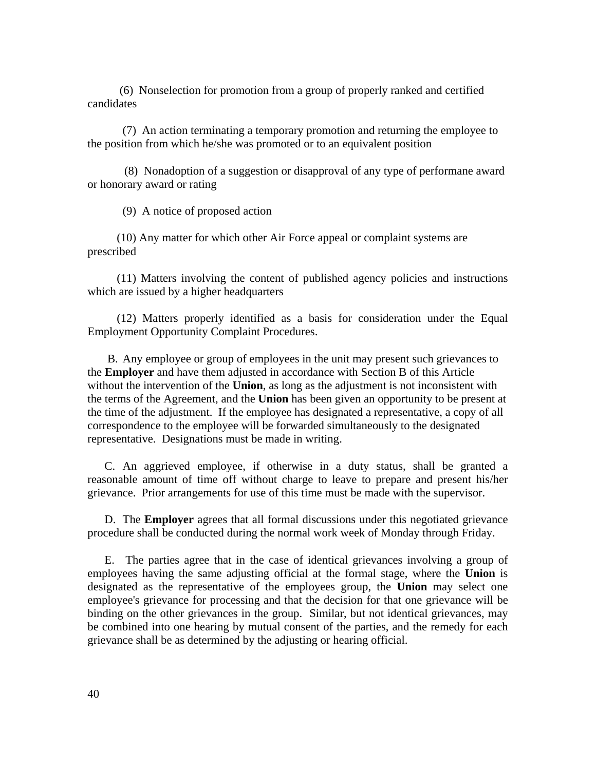(6) Nonselection for promotion from a group of properly ranked and certified candidates

 (7) An action terminating a temporary promotion and returning the employee to the position from which he/she was promoted or to an equivalent position

 (8) Nonadoption of a suggestion or disapproval of any type of performane award or honorary award or rating

(9) A notice of proposed action

 (10) Any matter for which other Air Force appeal or complaint systems are prescribed

 (11) Matters involving the content of published agency policies and instructions which are issued by a higher headquarters

 (12) Matters properly identified as a basis for consideration under the Equal Employment Opportunity Complaint Procedures.

 B. Any employee or group of employees in the unit may present such grievances to the **Employer** and have them adjusted in accordance with Section B of this Article without the intervention of the **Union**, as long as the adjustment is not inconsistent with the terms of the Agreement, and the **Union** has been given an opportunity to be present at the time of the adjustment. If the employee has designated a representative, a copy of all correspondence to the employee will be forwarded simultaneously to the designated representative. Designations must be made in writing.

 C. An aggrieved employee, if otherwise in a duty status, shall be granted a reasonable amount of time off without charge to leave to prepare and present his/her grievance. Prior arrangements for use of this time must be made with the supervisor.

 D. The **Employer** agrees that all formal discussions under this negotiated grievance procedure shall be conducted during the normal work week of Monday through Friday.

 E. The parties agree that in the case of identical grievances involving a group of employees having the same adjusting official at the formal stage, where the **Union** is designated as the representative of the employees group, the **Union** may select one employee's grievance for processing and that the decision for that one grievance will be binding on the other grievances in the group. Similar, but not identical grievances, may be combined into one hearing by mutual consent of the parties, and the remedy for each grievance shall be as determined by the adjusting or hearing official.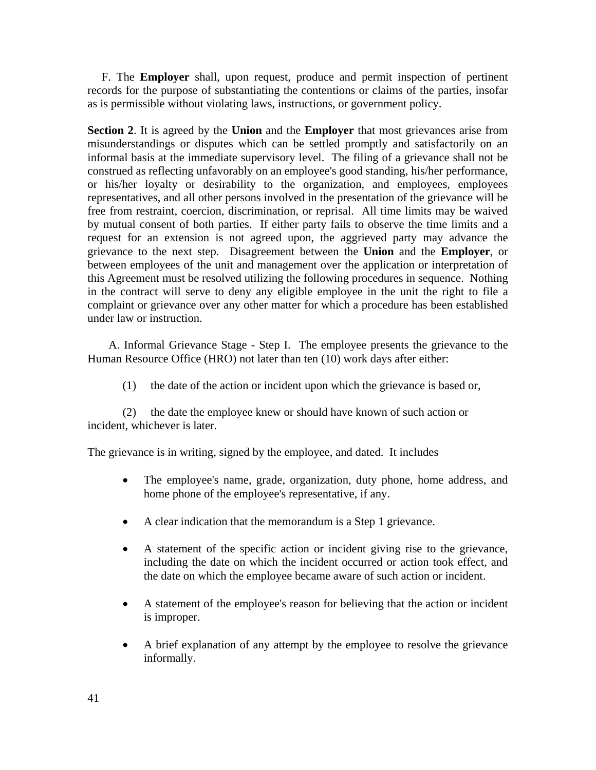F. The **Employer** shall, upon request, produce and permit inspection of pertinent records for the purpose of substantiating the contentions or claims of the parties, insofar as is permissible without violating laws, instructions, or government policy.

**Section 2**. It is agreed by the **Union** and the **Employer** that most grievances arise from misunderstandings or disputes which can be settled promptly and satisfactorily on an informal basis at the immediate supervisory level. The filing of a grievance shall not be construed as reflecting unfavorably on an employee's good standing, his/her performance, or his/her loyalty or desirability to the organization, and employees, employees representatives, and all other persons involved in the presentation of the grievance will be free from restraint, coercion, discrimination, or reprisal. All time limits may be waived by mutual consent of both parties. If either party fails to observe the time limits and a request for an extension is not agreed upon, the aggrieved party may advance the grievance to the next step. Disagreement between the **Union** and the **Employer**, or between employees of the unit and management over the application or interpretation of this Agreement must be resolved utilizing the following procedures in sequence. Nothing in the contract will serve to deny any eligible employee in the unit the right to file a complaint or grievance over any other matter for which a procedure has been established under law or instruction.

 A. Informal Grievance Stage - Step I. The employee presents the grievance to the Human Resource Office (HRO) not later than ten (10) work days after either:

(1) the date of the action or incident upon which the grievance is based or,

(2) the date the employee knew or should have known of such action or incident, whichever is later.

The grievance is in writing, signed by the employee, and dated. It includes

- The employee's name, grade, organization, duty phone, home address, and home phone of the employee's representative, if any.
- A clear indication that the memorandum is a Step 1 grievance.
- A statement of the specific action or incident giving rise to the grievance, including the date on which the incident occurred or action took effect, and the date on which the employee became aware of such action or incident.
- A statement of the employee's reason for believing that the action or incident is improper.
- A brief explanation of any attempt by the employee to resolve the grievance informally.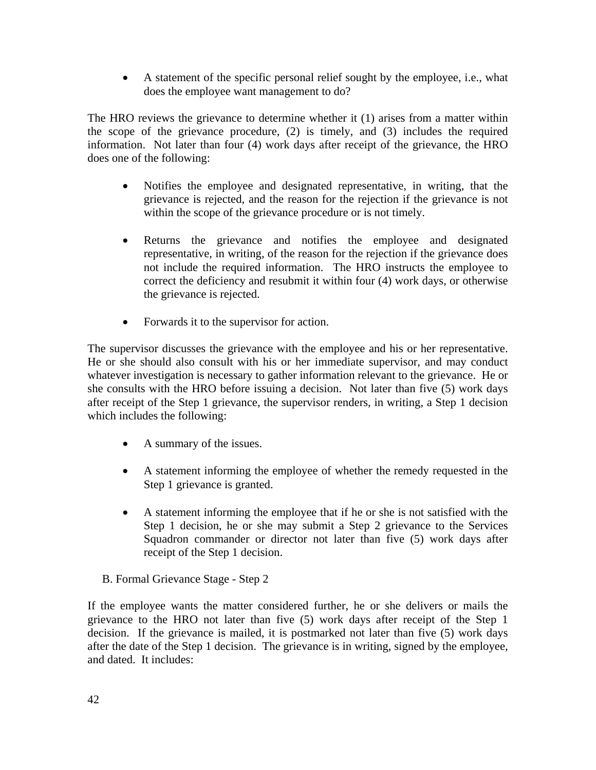• A statement of the specific personal relief sought by the employee, i.e., what does the employee want management to do?

The HRO reviews the grievance to determine whether it (1) arises from a matter within the scope of the grievance procedure, (2) is timely, and (3) includes the required information. Not later than four (4) work days after receipt of the grievance, the HRO does one of the following:

- Notifies the employee and designated representative, in writing, that the grievance is rejected, and the reason for the rejection if the grievance is not within the scope of the grievance procedure or is not timely.
- Returns the grievance and notifies the employee and designated representative, in writing, of the reason for the rejection if the grievance does not include the required information. The HRO instructs the employee to correct the deficiency and resubmit it within four (4) work days, or otherwise the grievance is rejected.
- Forwards it to the supervisor for action.

The supervisor discusses the grievance with the employee and his or her representative. He or she should also consult with his or her immediate supervisor, and may conduct whatever investigation is necessary to gather information relevant to the grievance. He or she consults with the HRO before issuing a decision. Not later than five (5) work days after receipt of the Step 1 grievance, the supervisor renders, in writing, a Step 1 decision which includes the following:

- A summary of the issues.
- A statement informing the employee of whether the remedy requested in the Step 1 grievance is granted.
- A statement informing the employee that if he or she is not satisfied with the Step 1 decision, he or she may submit a Step 2 grievance to the Services Squadron commander or director not later than five (5) work days after receipt of the Step 1 decision.

B. Formal Grievance Stage - Step 2

If the employee wants the matter considered further, he or she delivers or mails the grievance to the HRO not later than five (5) work days after receipt of the Step 1 decision. If the grievance is mailed, it is postmarked not later than five (5) work days after the date of the Step 1 decision. The grievance is in writing, signed by the employee, and dated. It includes: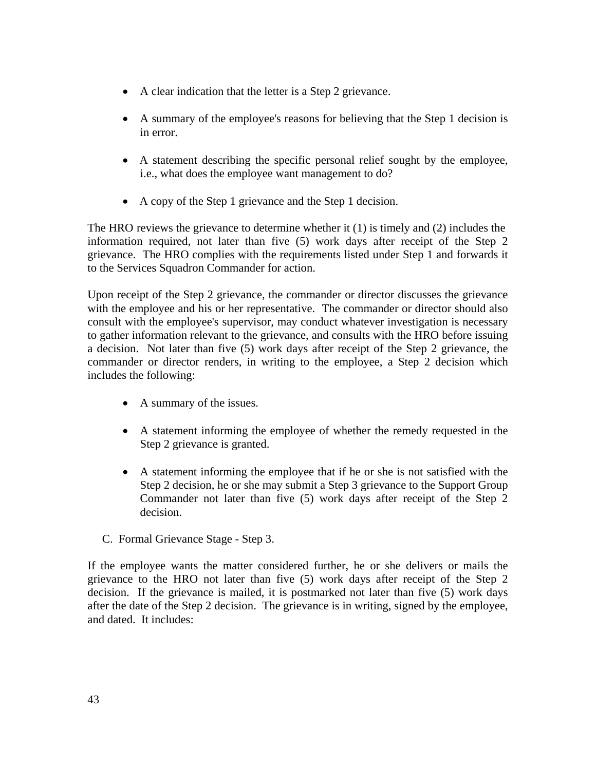- A clear indication that the letter is a Step 2 grievance.
- A summary of the employee's reasons for believing that the Step 1 decision is in error.
- A statement describing the specific personal relief sought by the employee, i.e., what does the employee want management to do?
- A copy of the Step 1 grievance and the Step 1 decision.

The HRO reviews the grievance to determine whether it (1) is timely and (2) includes the information required, not later than five (5) work days after receipt of the Step 2 grievance. The HRO complies with the requirements listed under Step 1 and forwards it to the Services Squadron Commander for action.

Upon receipt of the Step 2 grievance, the commander or director discusses the grievance with the employee and his or her representative. The commander or director should also consult with the employee's supervisor, may conduct whatever investigation is necessary to gather information relevant to the grievance, and consults with the HRO before issuing a decision. Not later than five (5) work days after receipt of the Step 2 grievance, the commander or director renders, in writing to the employee, a Step 2 decision which includes the following:

- A summary of the issues.
- A statement informing the employee of whether the remedy requested in the Step 2 grievance is granted.
- A statement informing the employee that if he or she is not satisfied with the Step 2 decision, he or she may submit a Step 3 grievance to the Support Group Commander not later than five (5) work days after receipt of the Step 2 decision.
- C. Formal Grievance Stage Step 3.

If the employee wants the matter considered further, he or she delivers or mails the grievance to the HRO not later than five (5) work days after receipt of the Step 2 decision. If the grievance is mailed, it is postmarked not later than five (5) work days after the date of the Step 2 decision. The grievance is in writing, signed by the employee, and dated. It includes: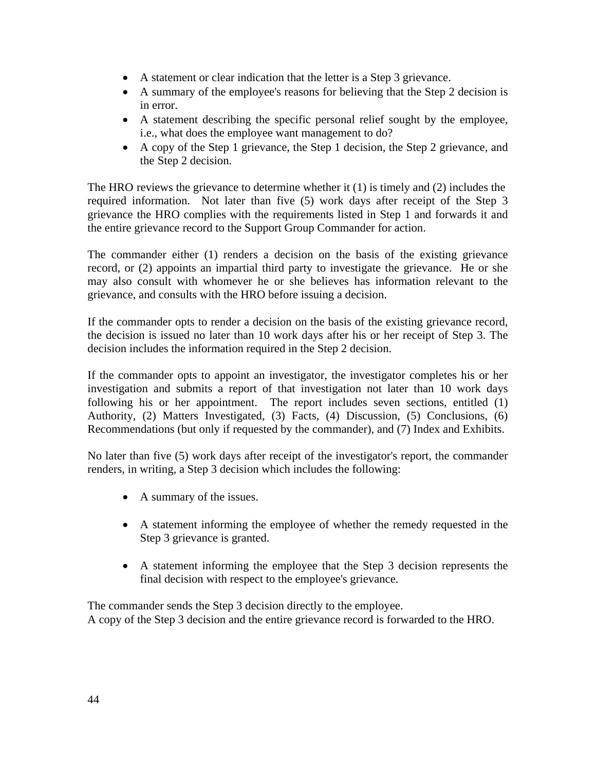- A statement or clear indication that the letter is a Step 3 grievance.
- A summary of the employee's reasons for believing that the Step 2 decision is in error.
- A statement describing the specific personal relief sought by the employee, i.e., what does the employee want management to do?
- A copy of the Step 1 grievance, the Step 1 decision, the Step 2 grievance, and the Step 2 decision.

The HRO reviews the grievance to determine whether it (1) is timely and (2) includes the required information. Not later than five (5) work days after receipt of the Step 3 grievance the HRO complies with the requirements listed in Step 1 and forwards it and the entire grievance record to the Support Group Commander for action.

The commander either (1) renders a decision on the basis of the existing grievance record, or (2) appoints an impartial third party to investigate the grievance. He or she may also consult with whomever he or she believes has information relevant to the grievance, and consults with the HRO before issuing a decision.

If the commander opts to render a decision on the basis of the existing grievance record, the decision is issued no later than 10 work days after his or her receipt of Step 3. The decision includes the information required in the Step 2 decision.

If the commander opts to appoint an investigator, the investigator completes his or her investigation and submits a report of that investigation not later than 10 work days following his or her appointment. The report includes seven sections, entitled (1) Authority, (2) Matters Investigated, (3) Facts, (4) Discussion, (5) Conclusions, (6) Recommendations (but only if requested by the commander), and (7) Index and Exhibits.

No later than five (5) work days after receipt of the investigator's report, the commander renders, in writing, a Step 3 decision which includes the following:

- A summary of the issues.
- A statement informing the employee of whether the remedy requested in the Step 3 grievance is granted.
- A statement informing the employee that the Step 3 decision represents the final decision with respect to the employee's grievance.

The commander sends the Step 3 decision directly to the employee. A copy of the Step 3 decision and the entire grievance record is forwarded to the HRO.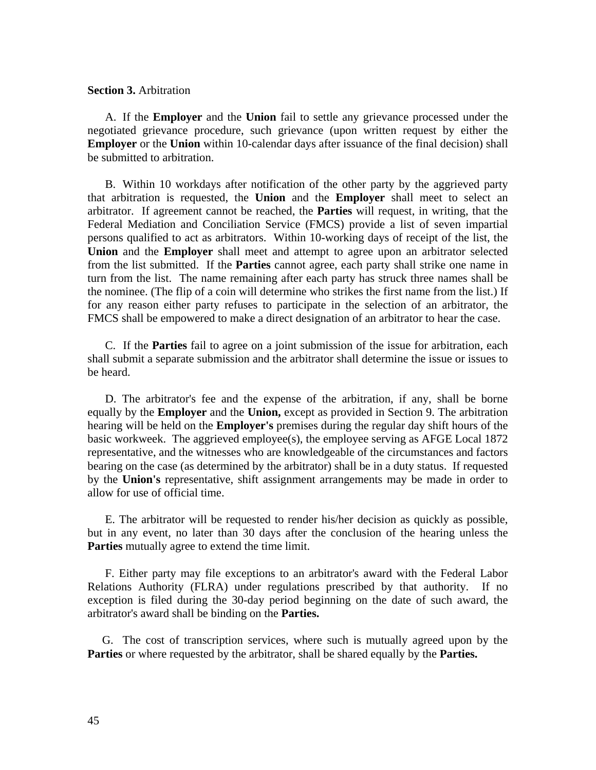#### **Section 3.** Arbitration

 A. If the **Employer** and the **Union** fail to settle any grievance processed under the negotiated grievance procedure, such grievance (upon written request by either the **Employer** or the **Union** within 10-calendar days after issuance of the final decision) shall be submitted to arbitration.

 B. Within 10 workdays after notification of the other party by the aggrieved party that arbitration is requested, the **Union** and the **Employer** shall meet to select an arbitrator. If agreement cannot be reached, the **Parties** will request, in writing, that the Federal Mediation and Conciliation Service (FMCS) provide a list of seven impartial persons qualified to act as arbitrators. Within 10-working days of receipt of the list, the **Union** and the **Employer** shall meet and attempt to agree upon an arbitrator selected from the list submitted. If the **Parties** cannot agree, each party shall strike one name in turn from the list. The name remaining after each party has struck three names shall be the nominee. (The flip of a coin will determine who strikes the first name from the list.) If for any reason either party refuses to participate in the selection of an arbitrator, the FMCS shall be empowered to make a direct designation of an arbitrator to hear the case.

 C. If the **Parties** fail to agree on a joint submission of the issue for arbitration, each shall submit a separate submission and the arbitrator shall determine the issue or issues to be heard.

 D. The arbitrator's fee and the expense of the arbitration, if any, shall be borne equally by the **Employer** and the **Union,** except as provided in Section 9. The arbitration hearing will be held on the **Employer's** premises during the regular day shift hours of the basic workweek. The aggrieved employee(s), the employee serving as AFGE Local 1872 representative, and the witnesses who are knowledgeable of the circumstances and factors bearing on the case (as determined by the arbitrator) shall be in a duty status. If requested by the **Union's** representative, shift assignment arrangements may be made in order to allow for use of official time.

 E. The arbitrator will be requested to render his/her decision as quickly as possible, but in any event, no later than 30 days after the conclusion of the hearing unless the **Parties** mutually agree to extend the time limit.

 F. Either party may file exceptions to an arbitrator's award with the Federal Labor Relations Authority (FLRA) under regulations prescribed by that authority. If no exception is filed during the 30-day period beginning on the date of such award, the arbitrator's award shall be binding on the **Parties.**

 G. The cost of transcription services, where such is mutually agreed upon by the **Parties** or where requested by the arbitrator, shall be shared equally by the **Parties.**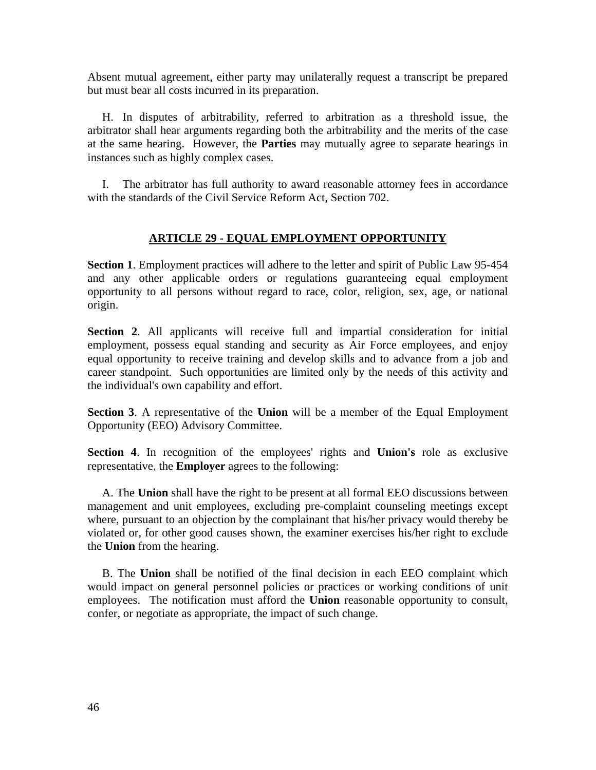Absent mutual agreement, either party may unilaterally request a transcript be prepared but must bear all costs incurred in its preparation.

 H. In disputes of arbitrability, referred to arbitration as a threshold issue, the arbitrator shall hear arguments regarding both the arbitrability and the merits of the case at the same hearing. However, the **Parties** may mutually agree to separate hearings in instances such as highly complex cases.

 I. The arbitrator has full authority to award reasonable attorney fees in accordance with the standards of the Civil Service Reform Act, Section 702.

# **ARTICLE 29 - EQUAL EMPLOYMENT OPPORTUNITY**

**Section 1**. Employment practices will adhere to the letter and spirit of Public Law 95-454 and any other applicable orders or regulations guaranteeing equal employment opportunity to all persons without regard to race, color, religion, sex, age, or national origin.

**Section 2**. All applicants will receive full and impartial consideration for initial employment, possess equal standing and security as Air Force employees, and enjoy equal opportunity to receive training and develop skills and to advance from a job and career standpoint. Such opportunities are limited only by the needs of this activity and the individual's own capability and effort.

**Section 3**. A representative of the **Union** will be a member of the Equal Employment Opportunity (EEO) Advisory Committee.

**Section 4**. In recognition of the employees' rights and **Union's** role as exclusive representative, the **Employer** agrees to the following:

 A. The **Union** shall have the right to be present at all formal EEO discussions between management and unit employees, excluding pre-complaint counseling meetings except where, pursuant to an objection by the complainant that his/her privacy would thereby be violated or, for other good causes shown, the examiner exercises his/her right to exclude the **Union** from the hearing.

 B. The **Union** shall be notified of the final decision in each EEO complaint which would impact on general personnel policies or practices or working conditions of unit employees. The notification must afford the **Union** reasonable opportunity to consult, confer, or negotiate as appropriate, the impact of such change.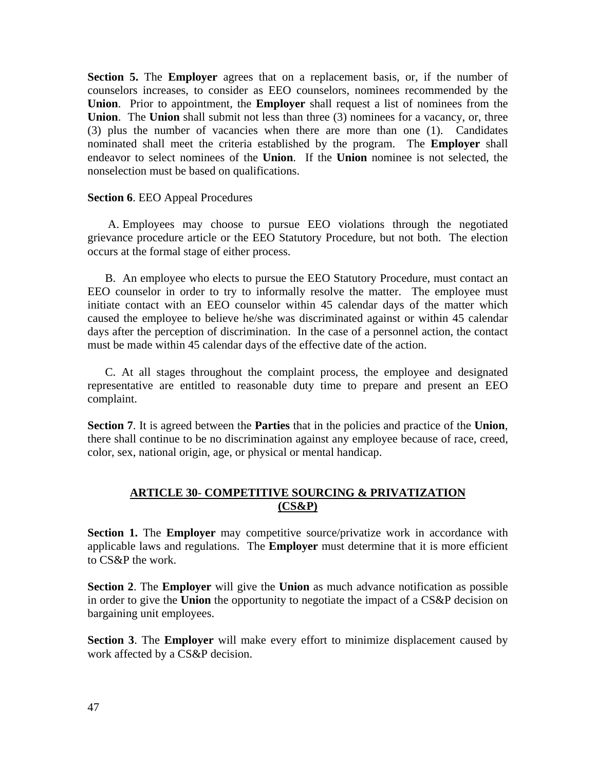**Section 5.** The **Employer** agrees that on a replacement basis, or, if the number of counselors increases, to consider as EEO counselors, nominees recommended by the **Union**. Prior to appointment, the **Employer** shall request a list of nominees from the **Union**. The **Union** shall submit not less than three (3) nominees for a vacancy, or, three (3) plus the number of vacancies when there are more than one (1). Candidates nominated shall meet the criteria established by the program. The **Employer** shall endeavor to select nominees of the **Union**. If the **Union** nominee is not selected, the nonselection must be based on qualifications.

### **Section 6**. EEO Appeal Procedures

 A. Employees may choose to pursue EEO violations through the negotiated grievance procedure article or the EEO Statutory Procedure, but not both. The election occurs at the formal stage of either process.

 B. An employee who elects to pursue the EEO Statutory Procedure, must contact an EEO counselor in order to try to informally resolve the matter. The employee must initiate contact with an EEO counselor within 45 calendar days of the matter which caused the employee to believe he/she was discriminated against or within 45 calendar days after the perception of discrimination. In the case of a personnel action, the contact must be made within 45 calendar days of the effective date of the action.

 C. At all stages throughout the complaint process, the employee and designated representative are entitled to reasonable duty time to prepare and present an EEO complaint.

**Section 7**. It is agreed between the **Parties** that in the policies and practice of the **Union**, there shall continue to be no discrimination against any employee because of race, creed, color, sex, national origin, age, or physical or mental handicap.

# **ARTICLE 30**- **COMPETITIVE SOURCING & PRIVATIZATION (CS&P)**

**Section 1.** The **Employer** may competitive source/privatize work in accordance with applicable laws and regulations. The **Employer** must determine that it is more efficient to CS&P the work.

**Section 2**. The **Employer** will give the **Union** as much advance notification as possible in order to give the **Union** the opportunity to negotiate the impact of a CS&P decision on bargaining unit employees.

**Section 3**. The **Employer** will make every effort to minimize displacement caused by work affected by a CS&P decision.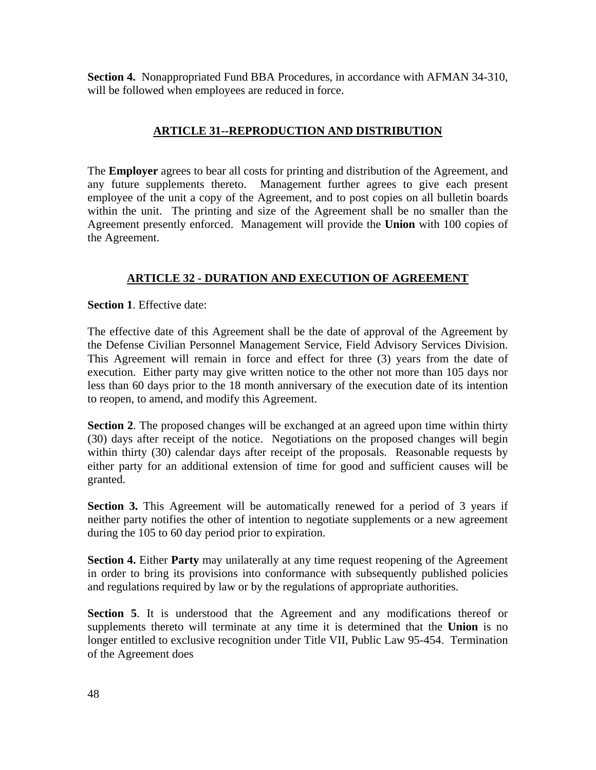**Section 4.** Nonappropriated Fund BBA Procedures, in accordance with AFMAN 34-310, will be followed when employees are reduced in force.

# **ARTICLE 31--REPRODUCTION AND DISTRIBUTION**

The **Employer** agrees to bear all costs for printing and distribution of the Agreement, and any future supplements thereto. Management further agrees to give each present employee of the unit a copy of the Agreement, and to post copies on all bulletin boards within the unit. The printing and size of the Agreement shall be no smaller than the Agreement presently enforced. Management will provide the **Union** with 100 copies of the Agreement.

# **ARTICLE 32 - DURATION AND EXECUTION OF AGREEMENT**

**Section 1**. Effective date:

The effective date of this Agreement shall be the date of approval of the Agreement by the Defense Civilian Personnel Management Service, Field Advisory Services Division. This Agreement will remain in force and effect for three (3) years from the date of execution. Either party may give written notice to the other not more than 105 days nor less than 60 days prior to the 18 month anniversary of the execution date of its intention to reopen, to amend, and modify this Agreement.

**Section 2**. The proposed changes will be exchanged at an agreed upon time within thirty (30) days after receipt of the notice. Negotiations on the proposed changes will begin within thirty (30) calendar days after receipt of the proposals. Reasonable requests by either party for an additional extension of time for good and sufficient causes will be granted.

**Section 3.** This Agreement will be automatically renewed for a period of 3 years if neither party notifies the other of intention to negotiate supplements or a new agreement during the 105 to 60 day period prior to expiration.

**Section 4.** Either **Party** may unilaterally at any time request reopening of the Agreement in order to bring its provisions into conformance with subsequently published policies and regulations required by law or by the regulations of appropriate authorities.

**Section 5**. It is understood that the Agreement and any modifications thereof or supplements thereto will terminate at any time it is determined that the **Union** is no longer entitled to exclusive recognition under Title VII, Public Law 95-454. Termination of the Agreement does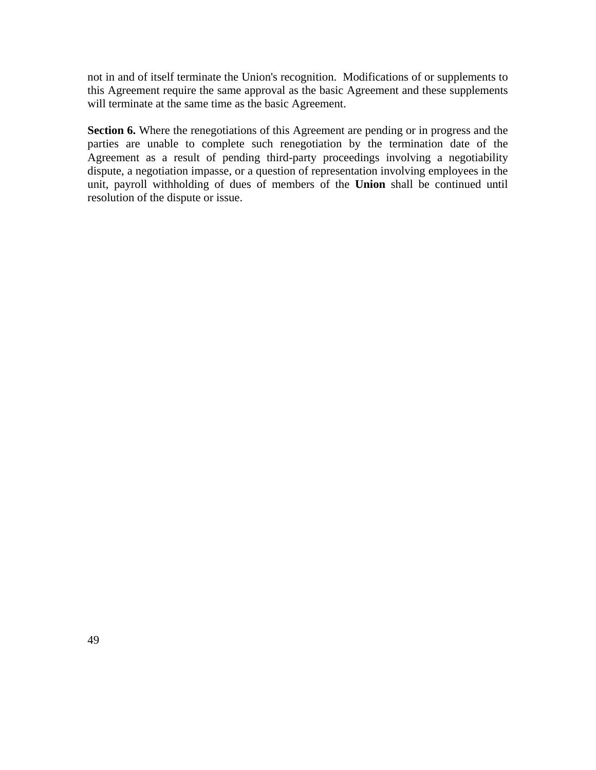not in and of itself terminate the Union's recognition. Modifications of or supplements to this Agreement require the same approval as the basic Agreement and these supplements will terminate at the same time as the basic Agreement.

**Section 6.** Where the renegotiations of this Agreement are pending or in progress and the parties are unable to complete such renegotiation by the termination date of the Agreement as a result of pending third-party proceedings involving a negotiability dispute, a negotiation impasse, or a question of representation involving employees in the unit, payroll withholding of dues of members of the **Union** shall be continued until resolution of the dispute or issue.